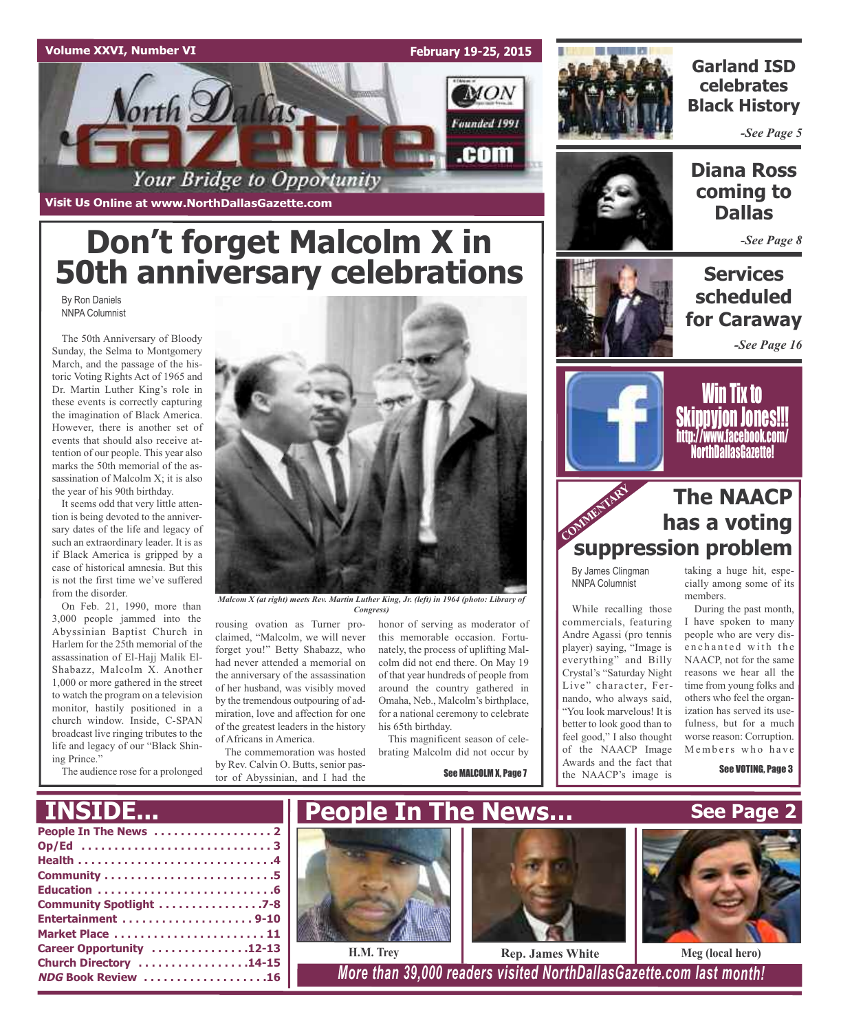

**Visit Us Online at www.NorthDallasGazette.com**

# **Don't forget Malcolm X in 50th anniversary celebrations**

By Ron Daniels NNPA Columnist

The 50th Anniversary of Bloody Sunday, the Selma to Montgomery March, and the passage of the historic Voting Rights Act of 1965 and Dr. Martin Luther King's role in these events is correctly capturing the imagination of Black America. However, there is another set of events that should also receive attention of our people. This year also marks the 50th memorial of the assassination of Malcolm X; it is also the year of his 90th birthday.

It seems odd that very little attention is being devoted to the anniversary dates of the life and legacy of such an extraordinary leader. It is as if Black America is gripped by a case of historical amnesia. But this is not the first time we've suffered from the disorder.

On Feb. 21, 1990, more than 3,000 people jammed into the Abyssinian Baptist Church in Harlem for the 25th memorial of the assassination of El-Hajj Malik El-Shabazz, Malcolm X. Another 1,000 or more gathered in the street to watch the program on a television monitor, hastily positioned in a church window. Inside, C-SPAN broadcast live ringing tributes to the life and legacy of our "Black Shining Prince."

The audience rose for a prolonged



*Malcom X (at right) meets Rev. Martin Luther King, Jr. (left) in 1964 (photo: Library of Congress)*

rousing ovation as Turner proclaimed, "Malcolm, we will never forget you!" Betty Shabazz, who had never attended a memorial on the anniversary of the assassination of her husband, was visibly moved by the tremendous outpouring of admiration, love and affection for one of the greatest leaders in the history of Africans in America.

The commemoration was hosted by Rev. Calvin O. Butts, senior pastor of Abyssinian, and I had the

honor of serving as moderator of this memorable occasion. Fortunately, the process of uplifting Malcolm did not end there. On May 19 of that year hundreds of people from around the country gathered in Omaha, Neb., Malcolm's birthplace, for a national ceremony to celebrate his 65th birthday.

This magnificent season of celebrating Malcolm did not occur by

See MALCOLM X, Page 7



**Garland ISD celebrates Black History**

*-See Page 5*



**Diana Ross coming to Dallas**

*-See Page 8*

**Services scheduled for Caraway**

*-See Page 16*



Win Tix to Skippyjon Jones!!! http://www.facebook.com/ NorthDallasGazette!

# COMMENTARY RES **The NAACP has a voting suppression problem**

By James Clingman NNPA Columnist

While recalling those commercials, featuring Andre Agassi (pro tennis player) saying, "Image is everything" and Billy Crystal's "Saturday Night Live" character, Fernando, who always said, "You look marvelous! It is better to look good than to feel good," I also thought of the NAACP Image Awards and the fact that the NAACP's image is

taking a huge hit, especially among some of its members.

During the past month, I have spoken to many people who are very disenchanted with the NAACP, not for the same reasons we hear all the time from young folks and others who feel the organization has served its usefulness, but for a much worse reason: Corruption. Members who have

See VOTING, Page 3

# **INSIDE...**

| Community Spotlight 7-8   |
|---------------------------|
|                           |
| Market Place  11          |
| Career Opportunity 12-13  |
| Church Directory 14-15    |
| <b>NDG Book Review 16</b> |
|                           |







**H.M. Trey Rep. James White Meg (local hero)**

**NDG Book Review . . . . . . . . . . . . . . . . . . .16** *More than 39,000 readers visited NorthDallasGazette.com last month!*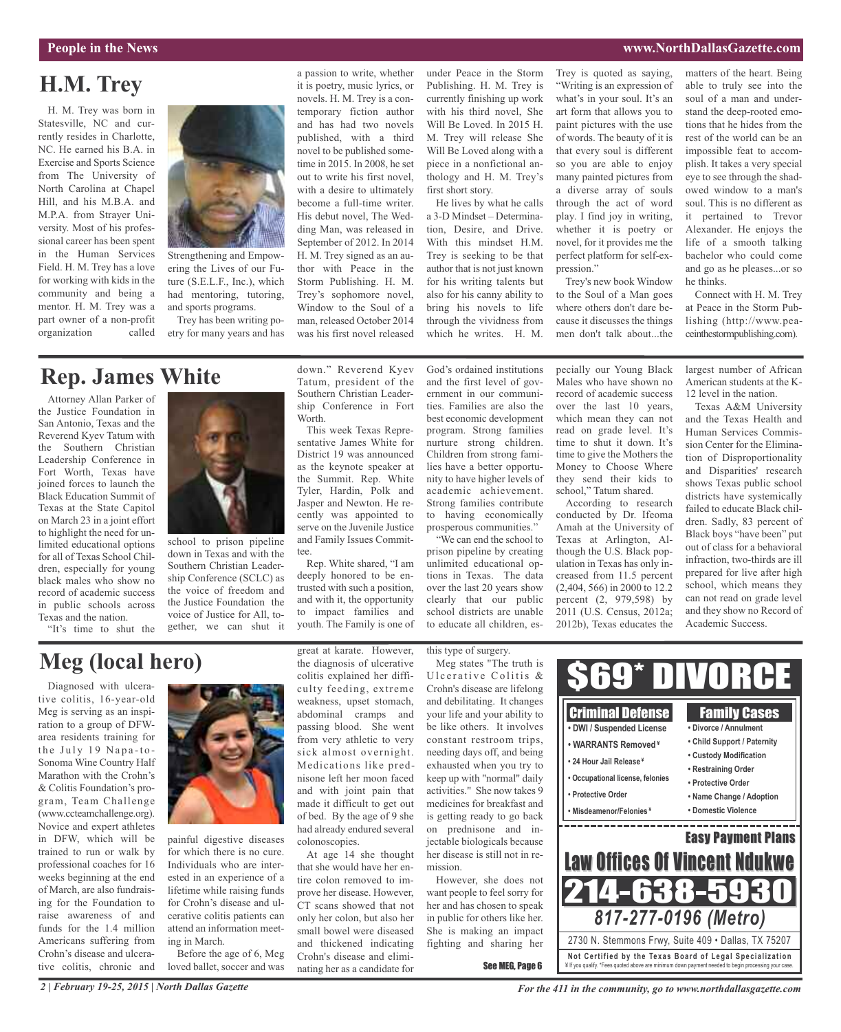## **People in the News www.NorthDallasGazette.com**

# **H.M. Trey**

H. M. Trey was born in Statesville, NC and currently resides in Charlotte, NC. He earned his B.A. in Exercise and Sports Science from The University of North Carolina at Chapel Hill, and his M.B.A. and M.P.A. from Strayer University. Most of his professional career has been spent in the Human Services Field. H. M. Trey has a love for working with kids in the community and being a mentor. H. M. Trey was a part owner of a non-profit organization called



ering the Lives of our Future (S.E.L.F., Inc.), which had mentoring, tutoring, and sports programs.

Trey has been writing poetry for many years and has

a passion to write, whether it is poetry, music lyrics, or novels. H. M. Trey is a contemporary fiction author and has had two novels published, with a third novel to be published sometime in 2015. In 2008, he set out to write his first novel, with a desire to ultimately become a full-time writer. His debut novel, The Wedding Man, was released in September of 2012. In 2014 H. M. Trey signed as an author with Peace in the Storm Publishing. H. M. Trey's sophomore novel, Window to the Soul of a man, released October 2014 was his first novel released

under Peace in the Storm Publishing. H. M. Trey is currently finishing up work with his third novel, She Will Be Loved. In 2015 H. M. Trey will release She Will Be Loved along with a piece in a nonfictional anthology and H. M. Trey's first short story.

He lives by what he calls a 3-D Mindset – Determination, Desire, and Drive. With this mindset H.M. Trey is seeking to be that author that is not just known for his writing talents but also for his canny ability to bring his novels to life through the vividness from which he writes. H. M.

Trey is quoted as saying, "Writing is an expression of what's in your soul. It's an art form that allows you to paint pictures with the use of words. The beauty of it is that every soul is different so you are able to enjoy many painted pictures from a diverse array of souls through the act of word play. I find joy in writing, whether it is poetry or novel, for it provides me the perfect platform for self-expression."

Trey's new book Window to the Soul of a Man goes where others don't dare because it discusses the things men don't talk about...the

matters of the heart. Being able to truly see into the soul of a man and understand the deep-rooted emotions that he hides from the rest of the world can be an impossible feat to accomplish. It takes a very special eye to see through the shadowed window to a man's soul. This is no different as it pertained to Trevor Alexander. He enjoys the life of a smooth talking bachelor who could come and go as he pleases...or so he thinks.

Connect with H. M. Trey at Peace in the Storm Publishing (http://www.peaceinthestormpublishing.com).

# **Rep. James White**

Attorney Allan Parker of the Justice Foundation in San Antonio, Texas and the Reverend Kyev Tatum with the Southern Christian Leadership Conference in Fort Worth, Texas have joined forces to launch the Black Education Summit of Texas at the State Capitol on March 23 in a joint effort to highlight the need for unlimited educational options for all of Texas School Children, especially for young black males who show no record of academic success in public schools across Texas and the nation.

"It's time to shut the



school to prison pipeline down in Texas and with the Southern Christian Leadership Conference (SCLC) as the voice of freedom and the Justice Foundation the voice of Justice for All, together, we can shut it

down." Reverend Kyev Tatum, president of the Southern Christian Leadership Conference in Fort Worth.

This week Texas Representative James White for District 19 was announced as the keynote speaker at the Summit. Rep. White Tyler, Hardin, Polk and Jasper and Newton. He recently was appointed to serve on the Juvenile Justice and Family Issues Committee.

Rep. White shared, "I am deeply honored to be entrusted with such a position, and with it, the opportunity to impact families and youth. The Family is one of God's ordained institutions and the first level of government in our communities. Families are also the best economic development program. Strong families nurture strong children. Children from strong families have a better opportunity to have higher levels of academic achievement. Strong families contribute to having economically prosperous communities."

"We can end the school to prison pipeline by creating unlimited educational options in Texas. The data over the last 20 years show clearly that our public school districts are unable to educate all children, especially our Young Black Males who have shown no record of academic success over the last 10 years, which mean they can not read on grade level. It's time to shut it down. It's time to give the Mothers the Money to Choose Where they send their kids to school," Tatum shared.

According to research conducted by Dr. Ifeoma Amah at the University of Texas at Arlington, Although the U.S. Black population in Texas has only increased from 11.5 percent (2,404, 566) in 2000 to 12.2 percent (2, 979,598) by 2011 (U.S. Census, 2012a; 2012b), Texas educates the largest number of African American students at the K-12 level in the nation.

Texas A&M University and the Texas Health and Human Services Commission Center for the Elimination of Disproportionality and Disparities' research shows Texas public school districts have systemically failed to educate Black children. Sadly, 83 percent of Black boys "have been" put out of class for a behavioral infraction, two-thirds are ill prepared for live after high school, which means they can not read on grade level and they show no Record of Academic Success.

# **Meg (local hero)**

Diagnosed with ulcerative colitis, 16-year-old Meg is serving as an inspiration to a group of DFWarea residents training for the July 19 Napa-to-Sonoma Wine Country Half Marathon with the Crohn's & Colitis Foundation's program, Team Challenge (www.ccteamchallenge.org). Novice and expert athletes in DFW, which will be trained to run or walk by professional coaches for 16 weeks beginning at the end of March, are also fundraising for the Foundation to raise awareness of and funds for the 1.4 million Americans suffering from Crohn's disease and ulcerative colitis, chronic and



painful digestive diseases for which there is no cure. Individuals who are interested in an experience of a lifetime while raising funds for Crohn's disease and ulcerative colitis patients can attend an information meeting in March.

Before the age of 6, Meg loved ballet, soccer and was great at karate. However, the diagnosis of ulcerative colitis explained her difficulty feeding, extreme weakness, upset stomach, abdominal cramps and passing blood. She went from very athletic to very sick almost overnight. Medications like prednisone left her moon faced and with joint pain that made it difficult to get out of bed. By the age of 9 she had already endured several colonoscopies.

At age 14 she thought that she would have her entire colon removed to improve her disease. However, CT scans showed that not only her colon, but also her small bowel were diseased and thickened indicating Crohn's disease and eliminating her as a candidate for

this type of surgery.

Meg states "The truth is Ulcerative Colitis & Crohn's disease are lifelong and debilitating. It changes your life and your ability to be like others. It involves constant restroom trips, needing days off, and being exhausted when you try to keep up with "normal" daily activities." She now takes 9 medicines for breakfast and is getting ready to go back on prednisone and injectable biologicals because her disease is still not in remission.

However, she does not want people to feel sorry for her and has chosen to speak in public for others like her. She is making an impact fighting and sharing her

See MEG, Page 6

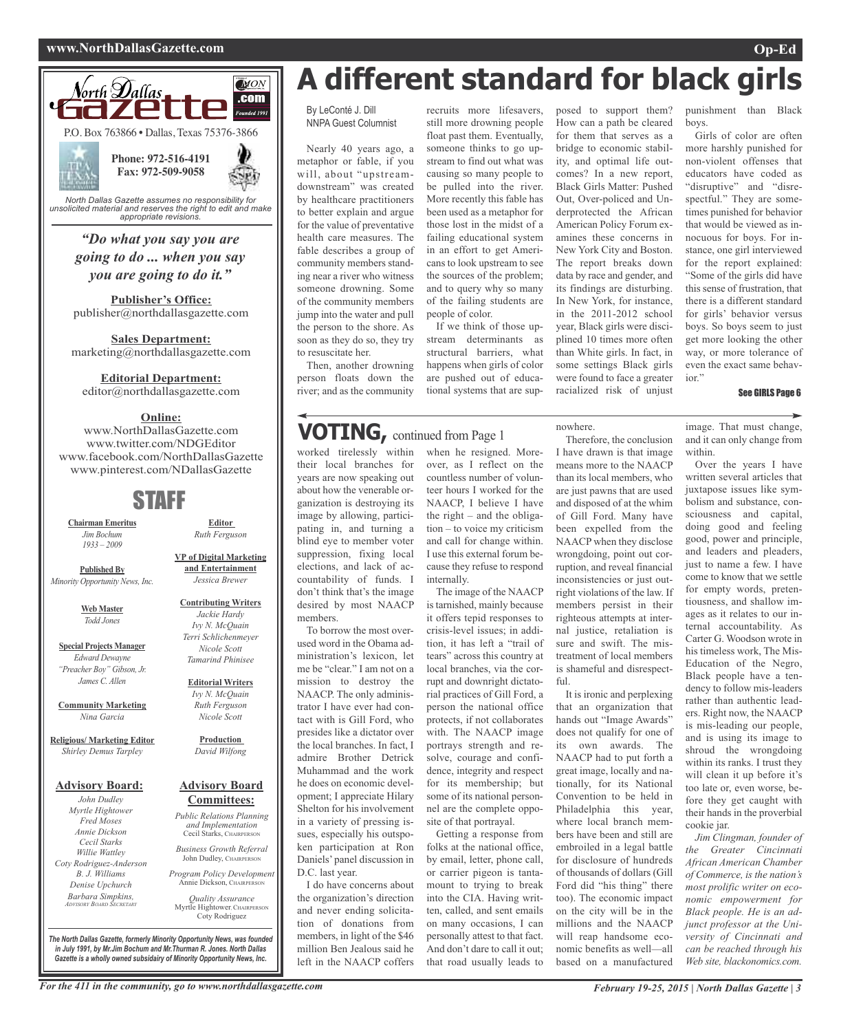## **www.NorthDallasGazette.com Op-Ed**



*unsolicited material and reserves the right to edit and make appropriate revisions.*

## *"Do what you say you are going to do ... when you say you are going to do it."*

**Publisher's Office:** publisher@northdallasgazette.com

**Sales Department:** marketing@northdallasgazette.com

### **Editorial Department:**

editor@northdallasgazette.com

## **Online:**

www.NorthDallasGazette.com www.twitter.com/NDGEditor www.facebook.com/NorthDallasGazette www.pinterest.com/NDallasGazette

# STAFF

**Chairman Emeritus** *Jim Bochum 1933 – 2009*

**Published By** *Minority Opportunity News, Inc.*

> **Web Master** *Todd Jones*

**Special Projects Manager** *Edward Dewayne "Preacher Boy" Gibson, Jr. James C. Allen*

**Community Marketing** *Nina Garcia*

**Religious/ Marketing Editor** *Shirley Demus Tarpley*

## **Advisory Board:**

*John Dudley Myrtle Hightower Fred Moses Annie Dickson Cecil Starks Willie Wattley Coty Rodriguez-Anderson B. J. Williams Denise Upchurch Barbara Simpkins, ADVISORY BOARD SECRETARY*

**VP of Digital Marketing and Entertainment** *Jessica Brewer*

**Editor** *Ruth Ferguson*

**Contributing Writers** *Jackie Hardy Ivy N. McQuain Terri Schlichenmeyer Nicole Scott Tamarind Phinisee*

#### **Editorial Writers** *Ivy N. McQuain Ruth Ferguson Nicole Scott*

**Production** *David Wilfong*

## **Advisory Board Committees:**

*Public Relations Planning and Implementation* Cecil Starks, CHAIRPERSON

*Business Growth Referral* John Dudley, CHAIRPERSON

*Program Policy Development* Annie Dickson, CHAIRPERS

*Quality Assurance* Myrtle Hightower, CHAIRPERSON Coty Rodriguez

**A different standard for black girls**

recruits more lifesavers, still more drowning people float past them. Eventually, someone thinks to go upstream to find out what was causing so many people to be pulled into the river. More recently this fable has been used as a metaphor for

in an effort to get Americans to look upstream to see the sources of the problem; and to query why so many of the failing students are

If we think of those upstream determinants as structural barriers, what happens when girls of color are pushed out of educational systems that are sup-

people of color.

By LeConté J. Dill NNPA Guest Columnist

Nearly 40 years ago, a metaphor or fable, if you will, about "upstreamdownstream" was created by healthcare practitioners to better explain and argue for the value of preventative health care measures. The fable describes a group of community members standing near a river who witness someone drowning. Some of the community members jump into the water and pull the person to the shore. As soon as they do so, they try to resuscitate her.

Then, another drowning person floats down the river; and as the community

# **VOTING,** continued from Page <sup>1</sup>

worked tirelessly within their local branches for years are now speaking out about how the venerable organization is destroying its image by allowing, participating in, and turning a blind eye to member voter suppression, fixing local elections, and lack of accountability of funds. I don't think that's the image desired by most NAACP members.

To borrow the most overused word in the Obama administration's lexicon, let me be "clear." I am not on a mission to destroy the NAACP. The only administrator I have ever had contact with is Gill Ford, who presides like a dictator over the local branches. In fact, I admire Brother Detrick Muhammad and the work he does on economic development; I appreciate Hilary Shelton for his involvement in a variety of pressing issues, especially his outspoken participation at Ron Daniels' panel discussion in D.C. last year.

I do have concerns about the organization's direction and never ending solicitation of donations from members, in light of the \$46 million Ben Jealous said he left in the NAACP coffers

when he resigned. Moreover, as I reflect on the countless number of volunteer hours I worked for the NAACP, I believe I have the right – and the obligation – to voice my criticism and call for change within. I use this external forum because they refuse to respond internally.

The image of the NAACP is tarnished, mainly because it offers tepid responses to crisis-level issues; in addition, it has left a "trail of tears" across this country at local branches, via the corrupt and downright dictatorial practices of Gill Ford, a person the national office protects, if not collaborates with. The NAACP image portrays strength and resolve, courage and confidence, integrity and respect for its membership; but some of its national personnel are the complete opposite of that portrayal.

Getting a response from folks at the national office, by email, letter, phone call, or carrier pigeon is tantamount to trying to break into the CIA. Having written, called, and sent emails on many occasions, I can personally attest to that fact. And don't dare to call it out; that road usually leads to

posed to support them? How can a path be cleared for them that serves as a bridge to economic stability, and optimal life outcomes? In a new report, Black Girls Matter: Pushed Out, Over-policed and Underprotected the African American Policy Forum examines these concerns in New York City and Boston. The report breaks down data by race and gender, and its findings are disturbing. In New York, for instance, in the 2011-2012 school year, Black girls were disciplined 10 times more often than White girls. In fact, in some settings Black girls were found to face a greater racialized risk of unjust

Therefore, the conclusion I have drawn is that image means more to the NAACP than its local members, who are just pawns that are used and disposed of at the whim of Gill Ford. Many have been expelled from the NAACP when they disclose wrongdoing, point out corruption, and reveal financial inconsistencies or just outright violations of the law. If members persist in their righteous attempts at internal justice, retaliation is sure and swift. The mistreatment of local members is shameful and disrespect-

It is ironic and perplexing that an organization that hands out "Image Awards" does not qualify for one of its own awards. The NAACP had to put forth a great image, locally and nationally, for its National Convention to be held in Philadelphia this year, where local branch members have been and still are embroiled in a legal battle for disclosure of hundreds of thousands of dollars (Gill Ford did "his thing" there too). The economic impact on the city will be in the millions and the NAACP will reap handsome economic benefits as well—all based on a manufactured

nowhere.

 $f<sub>11</sub>$ 

punishment than Black boys.

Girls of color are often more harshly punished for non-violent offenses that educators have coded as "disruptive" and "disrespectful." They are sometimes punished for behavior that would be viewed as innocuous for boys. For instance, one girl interviewed for the report explained: "Some of the girls did have this sense of frustration, that there is a different standard for girls' behavior versus boys. So boys seem to just get more looking the other way, or more tolerance of even the exact same behavior."

#### See GIRLS Page 6

image. That must change, and it can only change from within.

Over the years I have written several articles that juxtapose issues like symbolism and substance, consciousness and capital, doing good and feeling good, power and principle, and leaders and pleaders, just to name a few. I have come to know that we settle for empty words, pretentiousness, and shallow images as it relates to our internal accountability. As Carter G. Woodson wrote in his timeless work, The Mis-Education of the Negro, Black people have a tendency to follow mis-leaders rather than authentic leaders. Right now, the NAACP is mis-leading our people, and is using its image to shroud the wrongdoing within its ranks. I trust they will clean it up before it's too late or, even worse, before they get caught with their hands in the proverbial cookie jar.

*Jim Clingman, founder of the Greater Cincinnati African American Chamber of Commerce, is the nation's most prolific writer on economic empowerment for Black people. He is an adjunct professor at the University of Cincinnati and can be reached through his Web site, blackonomics.com.*

For the 411 in the community, go to www.northdallasgazette.com February 19-25, 2015 | North Dallas Gazette | 3

*The North Dallas Gazette, formerly Minority Opportunity News, was founded in July 1991, by Mr.Jim Bochum and Mr.Thurman R. Jones. North Dallas Gazette is a wholly owned subsidairy of Minority Opportunity News, Inc.*



those lost in the midst of a failing educational system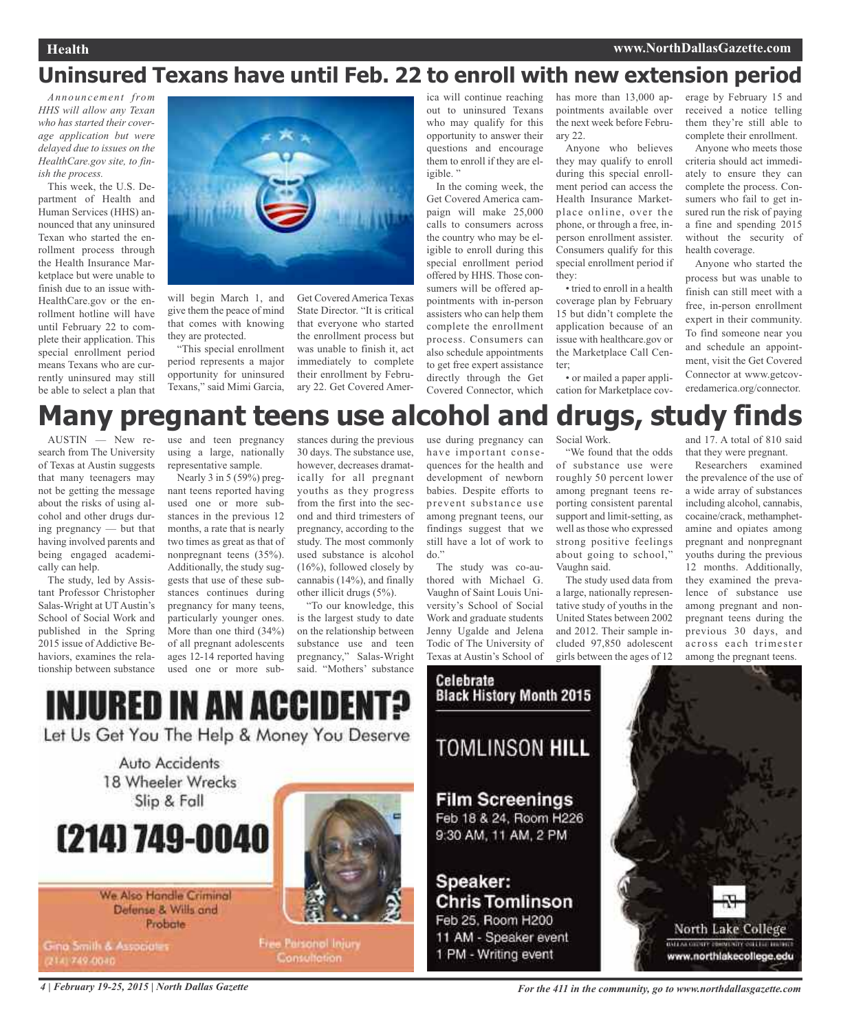# **Uninsured Texans have until Feb. 22 to enroll with new extension period**

*Announcement from HHS will allow any Texan who has started their coverage application but were delayed due to issues on the HealthCare.gov site, to finish the process.*

This week, the U.S. Department of Health and Human Services (HHS) announced that any uninsured Texan who started the enrollment process through the Health Insurance Marketplace but were unable to finish due to an issue with-HealthCare.gov or the enrollment hotline will have until February 22 to complete their application. This special enrollment period means Texans who are currently uninsured may still be able to select a plan that



will begin March 1, and give them the peace of mind that comes with knowing they are protected.

"This special enrollment period represents a major opportunity for uninsured Texans," said Mimi Garcia,

Get Covered America Texas State Director. "It is critical that everyone who started the enrollment process but was unable to finish it, act immediately to complete their enrollment by February 22. Get Covered Amer-

ica will continue reaching out to uninsured Texans who may qualify for this opportunity to answer their questions and encourage them to enroll if they are eligible."

In the coming week, the Get Covered America campaign will make 25,000 calls to consumers across the country who may be eligible to enroll during this special enrollment period offered by HHS. Those consumers will be offered appointments with in-person assisters who can help them complete the enrollment process. Consumers can also schedule appointments to get free expert assistance directly through the Get Covered Connector, which

has more than 13,000 appointments available over the next week before February 22.

Anyone who believes they may qualify to enroll during this special enrollment period can access the Health Insurance Marketplace online, over the phone, or through a free, inperson enrollment assister. Consumers qualify for this special enrollment period if they:

• tried to enroll in a health coverage plan by February 15 but didn't complete the application because of an issue with healthcare.gov or the Marketplace Call Center;

• or mailed a paper application for Marketplace coverage by February 15 and received a notice telling them they're still able to complete their enrollment.

Anyone who meets those criteria should act immediately to ensure they can complete the process. Consumers who fail to get insured run the risk of paying a fine and spending 2015 without the security of health coverage.

Anyone who started the process but was unable to finish can still meet with a free, in-person enrollment expert in their community. To find someone near you and schedule an appointment, visit the Get Covered Connector at www.getcoveredamerica.org/connector.

# **Many pregnant teens use alcohol and drugs, study finds**

AUSTIN — New research from The University of Texas at Austin suggests that many teenagers may not be getting the message about the risks of using alcohol and other drugs during pregnancy — but that having involved parents and being engaged academically can help.

The study, led by Assistant Professor Christopher Salas-Wright at UT Austin's School of Social Work and published in the Spring 2015 issue of Addictive Behaviors, examines the relationship between substance

use and teen pregnancy using a large, nationally representative sample.

Nearly 3 in 5 (59%) pregnant teens reported having used one or more substances in the previous 12 months, a rate that is nearly two times as great as that of nonpregnant teens (35%). Additionally, the study suggests that use of these substances continues during pregnancy for many teens, particularly younger ones. More than one third (34%) of all pregnant adolescents ages 12-14 reported having used one or more sub-

INJURED IN AN ACCIDEI

Let Us Get You The Help & Money You Deserve

stances during the previous 30 days. The substance use, however, decreases dramatically for all pregnant youths as they progress from the first into the second and third trimesters of pregnancy, according to the study. The most commonly used substance is alcohol (16%), followed closely by cannabis (14%), and finally other illicit drugs (5%).

"To our knowledge, this is the largest study to date on the relationship between substance use and teen pregnancy," Salas-Wright said. "Mothers' substance

use during pregnancy can have important consequences for the health and development of newborn babies. Despite efforts to prevent substance use among pregnant teens, our findings suggest that we still have a lot of work to do."

The study was co-authored with Michael G. Vaughn of Saint Louis University's School of Social Work and graduate students Jenny Ugalde and Jelena Todic of The University of Texas at Austin's School of



Celebrate **Black History Month 2015** 



**Film Screenings** Feb 18 & 24, Room H226

9:30 AM, 11 AM, 2 PM

# Speaker: **Chris Tomlinson** Feb 25, Room H200

11 AM - Speaker event 1 PM - Writing event

Social Work.

"We found that the odds of substance use were roughly 50 percent lower among pregnant teens reporting consistent parental support and limit-setting, as well as those who expressed strong positive feelings about going to school," Vaughn said.

The study used data from a large, nationally representative study of youths in the United States between 2002 and 2012. Their sample included 97,850 adolescent girls between the ages of 12

and 17. A total of 810 said that they were pregnant.

Researchers examined the prevalence of the use of a wide array of substances including alcohol, cannabis, cocaine/crack, methamphetamine and opiates among pregnant and nonpregnant youths during the previous 12 months. Additionally, they examined the prevalence of substance use among pregnant and nonpregnant teens during the previous 30 days, and across each trimester among the pregnant teens.



We Also Handle Criminal Defense & Wills and Probate

(214) 749-0040

Auto Accidents 18 Wheeler Wrecks

Slip & Fall

Gina Smith & Associates (214) 749-0040



Free Paisonal Injury

Consultation.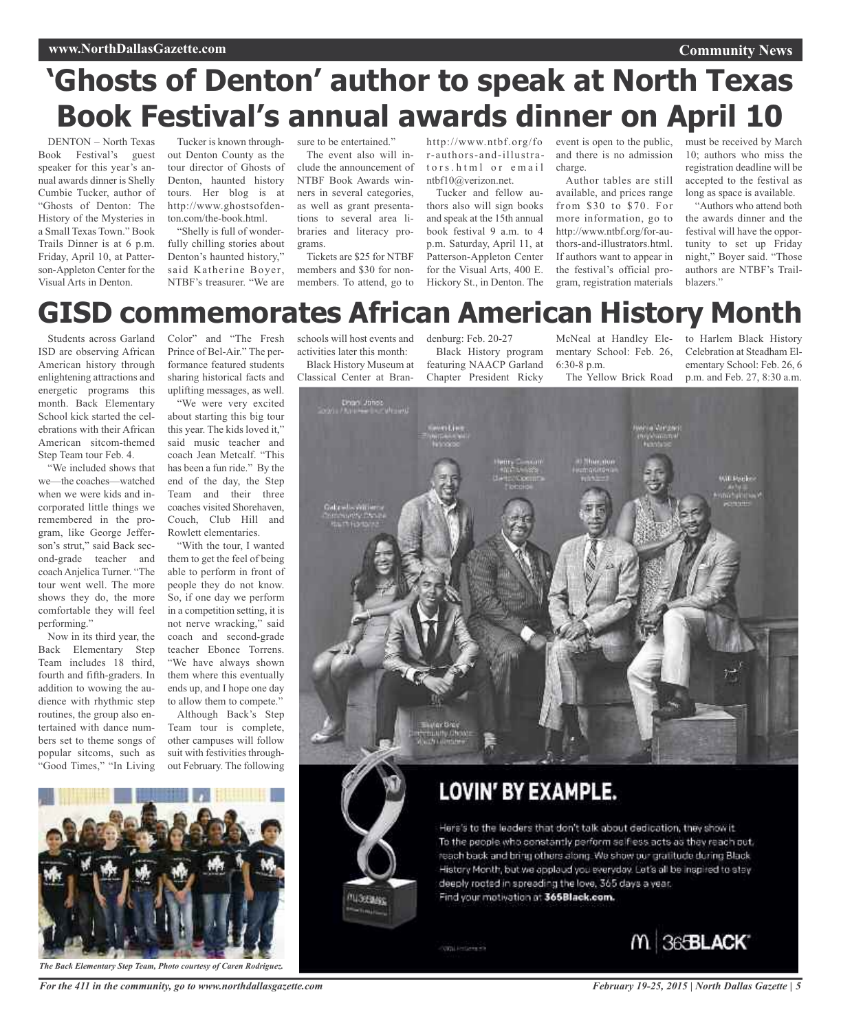# **'Ghosts of Denton' author to speak at North Texas Book Festival's annual awards dinner on April 10**

DENTON – North Texas Book Festival's guest speaker for this year's annual awards dinner is Shelly Cumbie Tucker, author of "Ghosts of Denton: The History of the Mysteries in a Small Texas Town." Book Trails Dinner is at 6 p.m. Friday, April 10, at Patterson-Appleton Center for the Visual Arts in Denton.

Tucker is known throughout Denton County as the tour director of Ghosts of Denton, haunted history tours. Her blog is at http://www.ghostsofdenton.com/the-book.html.

"Shelly is full of wonderfully chilling stories about Denton's haunted history," said Katherine Boyer, NTBF's treasurer. "We are

sure to be entertained."

The event also will include the announcement of NTBF Book Awards winners in several categories, as well as grant presentations to several area libraries and literacy programs.

Tickets are \$25 for NTBF members and \$30 for nonmembers. To attend, go to

tors.html or email charge. ntbf10@verizon.net.

Tucker and fellow authors also will sign books and speak at the 15th annual book festival 9 a.m. to 4 p.m. Saturday, April 11, at Patterson-Appleton Center for the Visual Arts, 400 E. Hickory St., in Denton. The

http://www.ntbf.org/fo event is open to the public, must be received by March r-authors-and-illustra-and there is no admission

Author tables are still available, and prices range from \$30 to \$70. For more information, go to http://www.ntbf.org/for-authors-and-illustrators.html. If authors want to appear in the festival's official program, registration materials 10; authors who miss the registration deadline will be accepted to the festival as long as space is available.

**Community News**

"Authors who attend both the awards dinner and the festival will have the opportunity to set up Friday night," Boyer said. "Those authors are NTBF's Trailblazers."

# **GISD commemorates African American History Month**

Students across Garland ISD are observing African American history through enlightening attractions and energetic programs this month. Back Elementary School kick started the celebrations with their African American sitcom-themed Step Team tour Feb. 4.

"We included shows that we—the coaches—watched when we were kids and incorporated little things we remembered in the program, like George Jefferson's strut," said Back second-grade teacher and coach Anjelica Turner. "The tour went well. The more shows they do, the more comfortable they will feel performing."

Now in its third year, the Back Elementary Step Team includes 18 third, fourth and fifth-graders. In addition to wowing the audience with rhythmic step routines, the group also entertained with dance numbers set to theme songs of popular sitcoms, such as "Good Times," "In Living

Color" and "The Fresh Prince of Bel-Air." The performance featured students sharing historical facts and uplifting messages, as well.

"We were very excited about starting this big tour this year. The kids loved it," said music teacher and coach Jean Metcalf. "This has been a fun ride." By the end of the day, the Step Team and their three coaches visited Shorehaven, Couch, Club Hill and Rowlett elementaries.

"With the tour, I wanted them to get the feel of being able to perform in front of people they do not know. So, if one day we perform in a competition setting, it is not nerve wracking," said coach and second-grade teacher Ebonee Torrens. "We have always shown them where this eventually ends up, and I hope one day to allow them to compete."

Although Back's Step Team tour is complete, other campuses will follow suit with festivities throughout February. The following schools will host events and activities later this month: Black History Museum at

Classical Center at Bran-

denburg: Feb. 20-27 Black History program featuring NAACP Garland Chapter President Ricky

McNeal at Handley Elementary School: Feb. 26, 6:30-8 p.m. The Yellow Brick Road

to Harlem Black History Celebration at Steadham Elementary School: Feb. 26, 6 p.m. and Feb. 27, 8:30 a.m.





Here's to the leaders that don't talk about dedication, they show it. To the people who constantly perform selfiess acts as they reach out, reach back and bring others along. We show our gratitude during Black History Month, but we applaud you everyday. Let's all be inspired to stey deeply rooted in spreading the love, 365 days a year. Find your motivation at 365Black.com.

**Official Alections with** 

**MIGHTARY** 



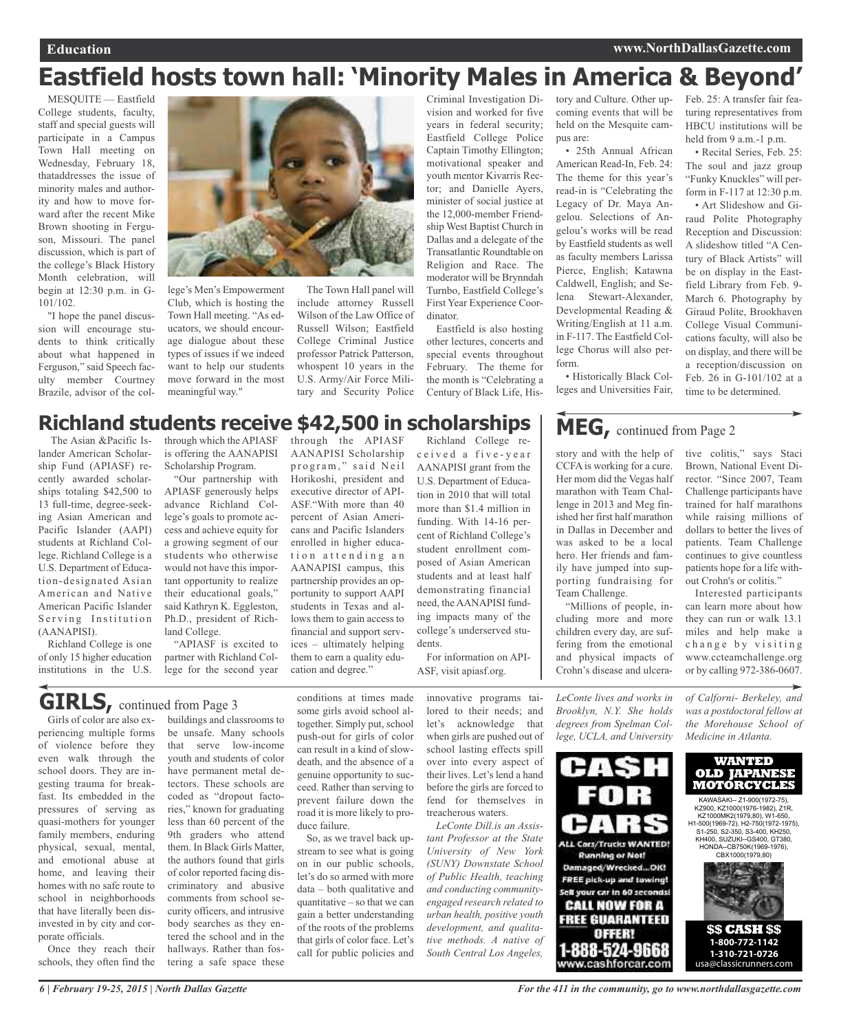# **Eastfield hosts town hall: 'Minority Males in America & Beyond'**

MESQUITE — Eastfield College students, faculty, staff and special guests will participate in a Campus Town Hall meeting on Wednesday, February 18, thataddresses the issue of minority males and authority and how to move forward after the recent Mike Brown shooting in Ferguson, Missouri. The panel discussion, which is part of the college's Black History Month celebration, will begin at 12:30 p.m. in G-101/102.

"I hope the panel discussion will encourage students to think critically about what happened in Ferguson," said Speech faculty member Courtney Brazile, advisor of the col-



lege's Men's Empowerment Club, which is hosting the Town Hall meeting. "As educators, we should encourage dialogue about these types of issues if we indeed want to help our students move forward in the most meaningful way."

The Town Hall panel will include attorney Russell Wilson of the Law Office of Russell Wilson; Eastfield College Criminal Justice professor Patrick Patterson, whospent 10 years in the U.S. Army/Air Force Military and Security Police

Criminal Investigation Division and worked for five years in federal security; Eastfield College Police Captain Timothy Ellington; motivational speaker and youth mentor Kivarris Rector; and Danielle Ayers, minister of social justice at the 12,000-member Friendship West Baptist Church in Dallas and a delegate of the Transatlantic Roundtable on Religion and Race. The moderator will be Brynndah Turnbo, Eastfield College's First Year Experience Coordinator.

Eastfield is also hosting other lectures, concerts and special events throughout February. The theme for the month is "Celebrating a Century of Black Life, History and Culture. Other upcoming events that will be held on the Mesquite campus are:

• 25th Annual African American Read-In, Feb. 24: The theme for this year's read-in is "Celebrating the Legacy of Dr. Maya Angelou. Selections of Angelou's works will be read by Eastfield students as well as faculty members Larissa Pierce, English; Katawna Caldwell, English; and Selena Stewart-Alexander, Developmental Reading & Writing/English at 11 a.m. in F-117. The Eastfield College Chorus will also perform.

• Historically Black Colleges and Universities Fair,

story and with the help of CCFA is working for a cure. Her mom did the Vegas half marathon with Team Challenge in 2013 and Meg finished her first half marathon in Dallas in December and was asked to be a local hero. Her friends and family have jumped into supporting fundraising for

**MEG,** continued from Page <sup>2</sup>

Feb. 25: A transfer fair featuring representatives from HBCU institutions will be held from 9 a.m.-1 p.m.

• Recital Series, Feb. 25: The soul and jazz group "Funky Knuckles" will perform in F-117 at 12:30 p.m.

• Art Slideshow and Giraud Polite Photography Reception and Discussion: A slideshow titled "A Century of Black Artists" will be on display in the Eastfield Library from Feb. 9- March 6. Photography by Giraud Polite, Brookhaven College Visual Communications faculty, will also be on display, and there will be a reception/discussion on Feb. 26 in G-101/102 at a time to be determined.

# **Richland students receive \$42,500 in scholarships**

The Asian &Pacific Islander American Scholarship Fund (APIASF) recently awarded scholarships totaling \$42,500 to 13 full-time, degree-seeking Asian American and Pacific Islander (AAPI) students at Richland College. Richland College is a U.S. Department of Education-designated Asian American and Native American Pacific Islander Serving Institution (AANAPISI).

Richland College is one of only 15 higher education institutions in the U.S.

through which the APIASF is offering the AANAPISI Scholarship Program.

"Our partnership with APIASF generously helps advance Richland College's goals to promote access and achieve equity for a growing segment of our students who otherwise would not have this important opportunity to realize their educational goals," said Kathryn K. Eggleston, Ph.D., president of Richland College.

"APIASF is excited to partner with Richland College for the second year

through the APIASF AANAPISI Scholarship program," said Neil Horikoshi, president and executive director of API-ASF."With more than 40 percent of Asian Americans and Pacific Islanders enrolled in higher education attending an AANAPISI campus, this partnership provides an opportunity to support AAPI students in Texas and allows them to gain access to financial and support services – ultimately helping them to earn a quality education and degree."

Richland College rec e i v e d a fi v e - y e a r AANAPISI grant from the U.S. Department of Education in 2010 that will total more than \$1.4 million in funding. With 14-16 percent of Richland College's student enrollment composed of Asian American students and at least half demonstrating financial need, the AANAPISI funding impacts many of the college's underserved students.

For information on API-ASF, visit apiasf.org.

> *LeConte lives and works in Brooklyn, N.Y. She holds degrees from Spelman College, UCLA, and University*

"Millions of people, including more and more children every day, are suffering from the emotional and physical impacts of Crohn's disease and ulcera-

Team Challenge.



tive colitis," says Staci Brown, National Event Director. "Since 2007, Team

# **GIRLS**, continued from Page 3

Girls of color are also experiencing multiple forms of violence before they even walk through the school doors. They are ingesting trauma for breakfast. Its embedded in the pressures of serving as quasi-mothers for younger family members, enduring physical, sexual, mental, and emotional abuse at home, and leaving their homes with no safe route to school in neighborhoods that have literally been disinvested in by city and corporate officials.

Once they reach their schools, they often find the

buildings and classrooms to be unsafe. Many schools that serve low-income youth and students of color have permanent metal detectors. These schools are coded as "dropout factories," known for graduating less than 60 percent of the 9th graders who attend them. In Black Girls Matter, the authors found that girls of color reported facing discriminatory and abusive comments from school security officers, and intrusive body searches as they entered the school and in the hallways. Rather than fostering a safe space these conditions at times made some girls avoid school altogether. Simply put, school push-out for girls of color can result in a kind of slowdeath, and the absence of a genuine opportunity to succeed. Rather than serving to prevent failure down the road it is more likely to produce failure.

So, as we travel back upstream to see what is going on in our public schools, let's do so armed with more data – both qualitative and quantitative – so that we can gain a better understanding of the roots of the problems that girls of color face. Let's call for public policies and

innovative programs tailored to their needs; and let's acknowledge that when girls are pushed out of school lasting effects spill over into every aspect of their lives. Let's lend a hand before the girls are forced to fend for themselves in treacherous waters.

*LeConte Dill.is an Assistant Professor at the State University of New York (SUNY) Downstate School of Public Health, teaching and conducting communityengaged research related to urban health, positive youth development, and qualitative methods. A native of South Central Los Angeles,*

Challenge participants have trained for half marathons while raising millions of dollars to better the lives of patients. Team Challenge continues to give countless patients hope for a life without Crohn's or colitis." Interested participants can learn more about how

they can run or walk 13.1 miles and help make a change by visiting www.ccteamchallenge.org or by calling 972-386-0607.

*of Calforni- Berkeley, and was a postdoctoral fellow at the Morehouse School of Medicine in Atlanta.*



KH400, SUZUKI--GS400, GT380, HONDA--CB750K(1969-1976), CBX1000(1979,80)



**1-310-721-0726**  usa@classicrunners.com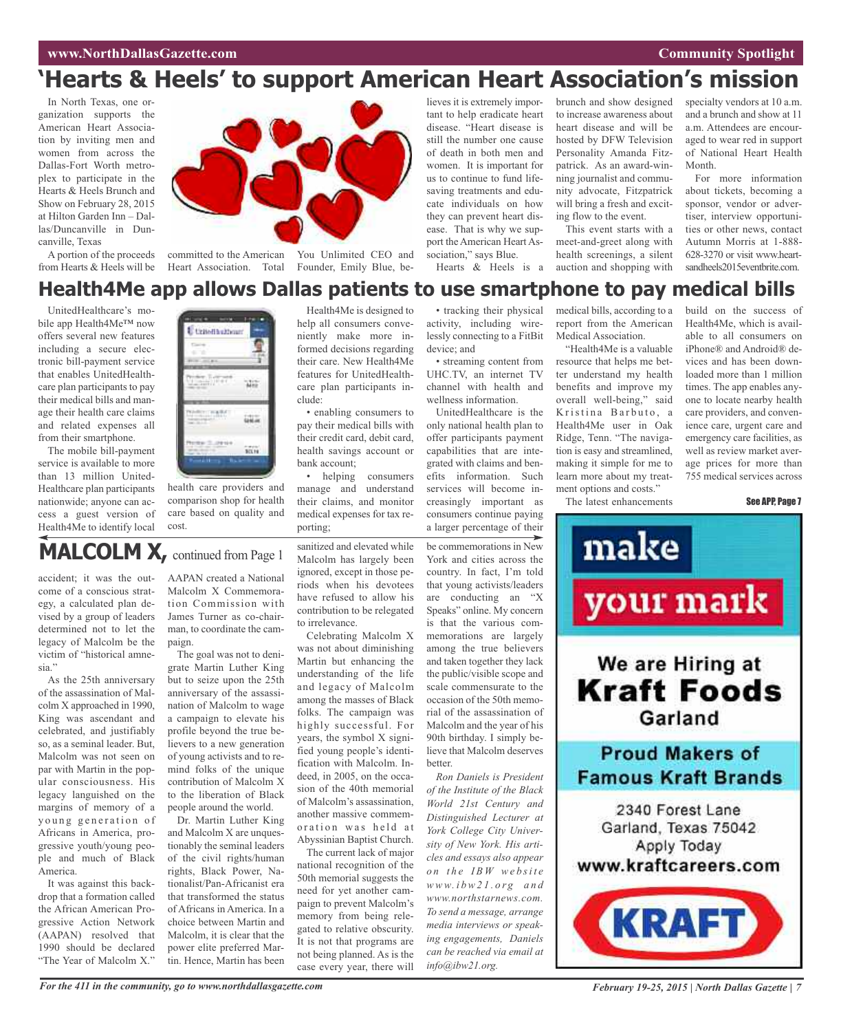# **'Hearts & Heels' to support American Heart Association's mission**

In North Texas, one organization supports the American Heart Association by inviting men and women from across the Dallas-Fort Worth metroplex to participate in the Hearts & Heels Brunch and Show on February 28, 2015 at Hilton Garden Inn – Dallas/Duncanville in Duncanville, Texas

A portion of the proceeds from Hearts & Heels will be



committed to the American You Unlimited CEO and Heart Association. Total Founder, Emily Blue, be-

clude:

bank account;

porting;

help all consumers conveniently make more informed decisions regarding their care. New Health4Me features for UnitedHealthcare plan participants in-

• enabling consumers to pay their medical bills with their credit card, debit card, health savings account or

• helping consumers manage and understand their claims, and monitor medical expenses for tax relieves it is extremely important to help eradicate heart disease. "Heart disease is still the number one cause of death in both men and women. It is important for us to continue to fund lifesaving treatments and educate individuals on how they can prevent heart disease. That is why we support the American Heart Association," says Blue.

Hearts & Heels is a

brunch and show designed to increase awareness about heart disease and will be hosted by DFW Television Personality Amanda Fitzpatrick. As an award-winning journalist and community advocate, Fitzpatrick will bring a fresh and exciting flow to the event.

This event starts with a meet-and-greet along with health screenings, a silent auction and shopping with

specialty vendors at 10 a.m. and a brunch and show at 11 a.m. Attendees are encouraged to wear red in support of National Heart Health Month.

For more information about tickets, becoming a sponsor, vendor or advertiser, interview opportunities or other news, contact Autumn Morris at 1-888- 628-3270 or visit www.heartsandheels2015eventbrite.com

# Health4Me is designed to **Health4Me app allows Dallas patients to use smartphone to pay medical bills**

UnitedHealthcare's mobile app Health4Me™ now offers several new features including a secure electronic bill-payment service that enables UnitedHealthcare plan participants to pay their medical bills and manage their health care claims and related expenses all from their smartphone.

The mobile bill-payment service is available to more than 13 million United-Healthcare plan participants nationwide; anyone can access a guest version of Health4Me to identify local



health care providers and comparison shop for health care based on quality and cost.

# **MALCOLM X,** continued from Page <sup>1</sup>

accident; it was the outcome of a conscious strategy, a calculated plan devised by a group of leaders determined not to let the legacy of Malcolm be the victim of "historical amnesia."

As the 25th anniversary of the assassination of Malcolm X approached in 1990, King was ascendant and celebrated, and justifiably so, as a seminal leader. But, Malcolm was not seen on par with Martin in the popular consciousness. His legacy languished on the margins of memory of a young generation of Africans in America, progressive youth/young people and much of Black America.

It was against this backdrop that a formation called the African American Progressive Action Network (AAPAN) resolved that 1990 should be declared "The Year of Malcolm X."

AAPAN created a National Malcolm X Commemoration Commission with James Turner as co-chairman, to coordinate the campaign.

The goal was not to denigrate Martin Luther King but to seize upon the 25th anniversary of the assassination of Malcolm to wage a campaign to elevate his profile beyond the true believers to a new generation of young activists and to remind folks of the unique contribution of Malcolm X to the liberation of Black people around the world.

Dr. Martin Luther King and Malcolm X are unquestionably the seminal leaders of the civil rights/human rights, Black Power, Nationalist/Pan-Africanist era that transformed the status of Africans in America. In a choice between Martin and Malcolm, it is clear that the power elite preferred Martin. Hence, Martin has been sanitized and elevated while Malcolm has largely been ignored, except in those periods when his devotees have refused to allow his contribution to be relegated to irrelevance.

Celebrating Malcolm X was not about diminishing Martin but enhancing the understanding of the life and legacy of Malcolm among the masses of Black folks. The campaign was highly successful. For years, the symbol X signified young people's identification with Malcolm. Indeed, in 2005, on the occasion of the 40th memorial of Malcolm's assassination, another massive commemoration was held at Abyssinian Baptist Church.

The current lack of major national recognition of the 50th memorial suggests the need for yet another campaign to prevent Malcolm's memory from being relegated to relative obscurity. It is not that programs are not being planned. As is the case every year, there will

• tracking their physical activity, including wirelessly connecting to a FitBit device; and

• streaming content from UHC.TV, an internet TV channel with health and wellness information.

UnitedHealthcare is the only national health plan to offer participants payment capabilities that are integrated with claims and benefits information. Such services will become increasingly important as consumers continue paying a larger percentage of their

be commemorations in New York and cities across the country. In fact, I'm told that young activists/leaders are conducting an "X Speaks" online. My concern is that the various commemorations are largely among the true believers and taken together they lack the public/visible scope and scale commensurate to the occasion of the 50th memorial of the assassination of Malcolm and the year of his 90th birthday. I simply believe that Malcolm deserves better.

*Ron Daniels is President of the Institute of the Black World 21st Century and Distinguished Lecturer at York College City University of New York. His articles and essays also appear o n t h e I B W we b si t e www. i bw2 1 . o rg a n d www.northstarnews.com. To send a message, arrange media interviews or speaking engagements, Daniels can be reached via email at info@ibw21.org.*

medical bills, according to a report from the American Medical Association.

"Health4Me is a valuable resource that helps me better understand my health benefits and improve my overall well-being," said Kristina Barbuto, a Health4Me user in Oak Ridge, Tenn. "The navigation is easy and streamlined, making it simple for me to learn more about my treatment options and costs."

The latest enhancements

build on the success of Health4Me, which is available to all consumers on iPhone® and Android® devices and has been downloaded more than 1 million times. The app enables anyone to locate nearby health care providers, and convenience care, urgent care and emergency care facilities, as well as review market average prices for more than 755 medical services across

See APP, Page 7

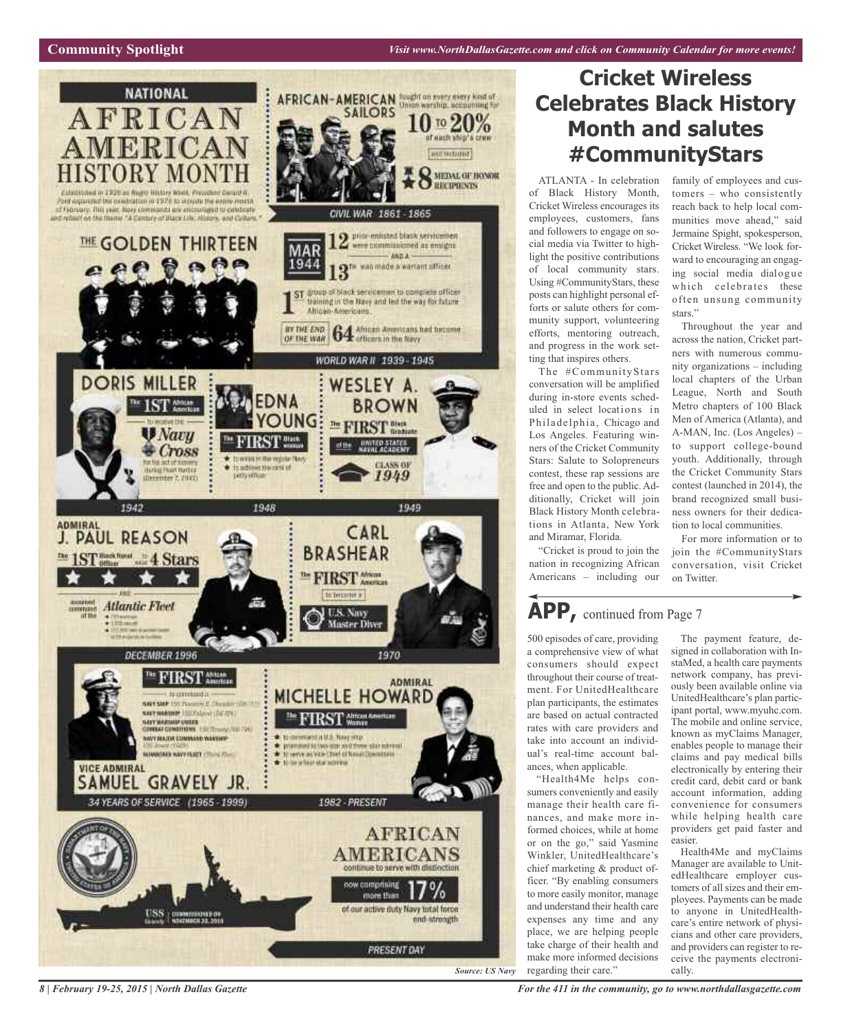## **Community Spotlight**



# **Cricket Wireless Celebrates Black History Month and salutes # C o m m u n i t y S t a r s**

stars."

family of employees and customers - who consistently reach back to help local communities move ahead," said Jermaine Spight, spokesperson, Cricket Wireless. "We look forward to encouraging an engaging social media dialogue which celebrates these often unsung community

Throughout the year and across the nation, Cricket partners with numerous community organizations - including local chapters of the Urban League, North and South Metro chapters of 100 Black Men of America (Atlanta), and A-MAN, Inc. (Los Angeles) to support college-bound youth. Additionally, through the Cricket Community Stars contest (launched in 2014), the brand recognized small business owners for their dedication to local communities. For more information or to join the #CommunityStars conversation, visit Cricket

ATLANTA - In celebration of Black History Month, Cricket Wireless encourages its employees, customers, fans and followers to engage on social media via Twitter to highlight the positive contributions of local community stars. Using #CommunityStars, these posts can highlight personal efforts or salute others for com munity support, volunteering efforts, mentoring outreach, and progress in the work set ting that inspires others.

The #CommunityStars conversation will be amplified during in-store events sched uled in select locations in Philadelphia, Chicago and Los Angeles. Featuring win ners of the Cricket Community Stars: Salute to Solopreneurs contest, these rap sessions are free and open to the public. Ad ditionally, Cricket will join Black History Month celebra tions in Atlanta, New York and Miramar, Florida.

"Cricket is proud to join the nation in recognizing African Americans – including our

# **APP**, continued from Page 7

500 episodes of care, providing a comprehensive view of what consumers should expect throughout their course of treatment. For UnitedHealthcare plan participants, the estimates are based on actual contracted rates with care providers and take into account an individual's real-time account balances, when applicable.

"Health4Me helps consumers conveniently and easily manage their health care finances, and make more informed choices, while at home or on the go," said Yasmine Winkler, UnitedHealthcare's chief marketing & product officer. "By enabling consumers to more easily monitor, manage and understand their health care expenses any time and any place, we are helping people take charge of their health and make more informed decisions regarding their care."

on Twitter. The payment feature, designed in collaboration with InstaMed, a health care payments network company, has previously been available online via UnitedHealthcare's plan participant portal, www.myuhc.com. The mobile and online service, known as myClaims Manager, enables people to manage their claims and pay medical bills electronically by entering their credit card, debit card or bank account information, adding

easier. Health4Me and myClaims Manager are available to UnitedHealthcare employer customers of all sizes and their employees. Payments can be made to anyone in UnitedHealthcare's entire network of physicians and other care providers, and providers can register to receive the payments electronically.

convenience for consumers while helping health care providers get paid faster and

8 | February 19-25, 2015 | North Dallas Gazette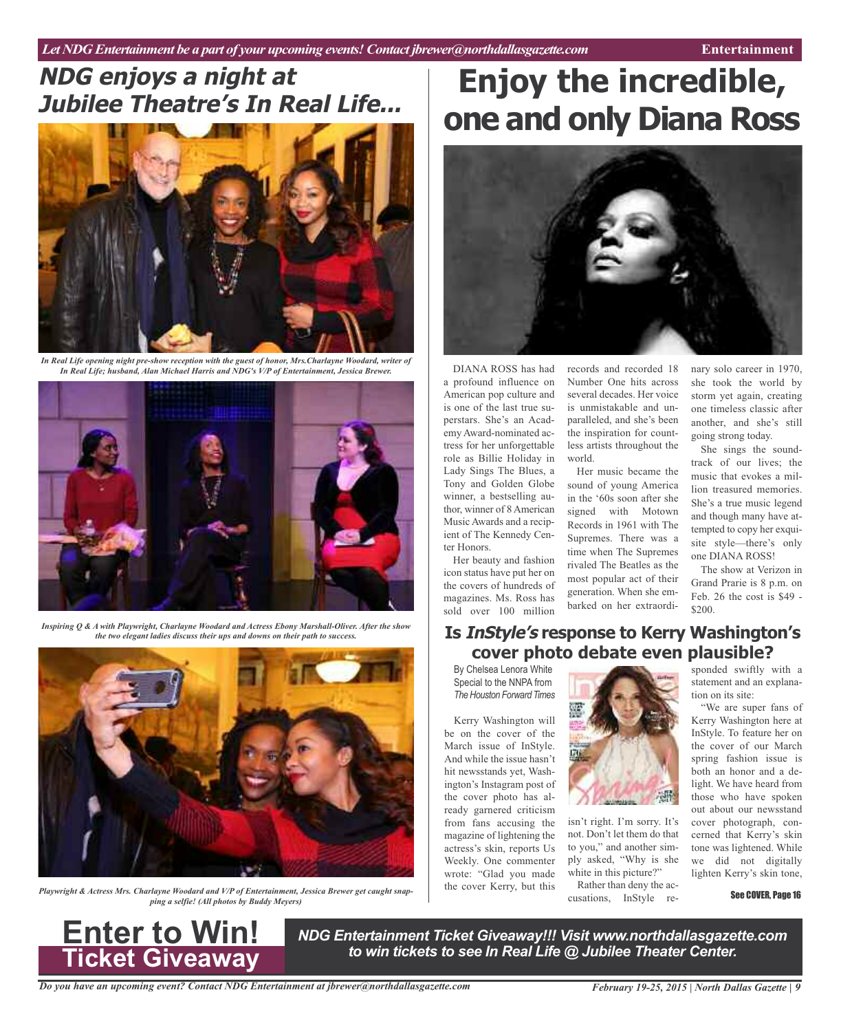# **NDG enjoys <sup>a</sup> night at Jubilee Theatre's In Real Life... Enjoy the incredible,**



*In Real Life opening night pre-show reception with the guest of honor, Mrs.Charlayne Woodard, writer of In Real Life; husband, Alan Michael Harris and NDG's V/P of Entertainment, Jessica Brewer.*



*Inspiring Q & A with Playwright, Charlayne Woodard and Actress Ebony Marshall-Oliver. After the show the two elegant ladies discuss their ups and downs on their path to success.*



*Playwright & Actress Mrs. Charlayne Woodard and V/P of Entertainment, Jessica Brewer get caught snapping a selfie! (All photos by Buddy Meyers)*

# **one and only Diana Ross**



DIANA ROSS has had a profound influence on American pop culture and is one of the last true superstars. She's an Academy Award-nominated actress for her unforgettable role as Billie Holiday in Lady Sings The Blues, a Tony and Golden Globe winner, a bestselling author, winner of 8 American Music Awards and a recipient of The Kennedy Center Honors.

Her beauty and fashion icon status have put her on the covers of hundreds of magazines. Ms. Ross has sold over 100 million

records and recorded 18 Number One hits across several decades. Her voice is unmistakable and unparalleled, and she's been the inspiration for countless artists throughout the world.

Her music became the sound of young America in the '60s soon after she signed with Motown Records in 1961 with The Supremes. There was a time when The Supremes rivaled The Beatles as the most popular act of their generation. When she embarked on her extraordi-

nary solo career in 1970, she took the world by storm yet again, creating one timeless classic after another, and she's still going strong today.

She sings the soundtrack of our lives; the music that evokes a million treasured memories. She's a true music legend and though many have attempted to copy her exquisite style—there's only one DIANA ROSS!

The show at Verizon in Grand Prarie is 8 p.m. on Feb. 26 the cost is \$49 -  $$200.$ 

# **Is InStyle's response to Kerry Washington's cover photo debate even plausible?**

By Chelsea Lenora White Special to the NNPA from **The Houston Forward Times** 

Kerry Washington will be on the cover of the March issue of InStyle. And while the issue hasn't hit newsstands yet, Washington's Instagram post of the cover photo has already garnered criticism from fans accusing the magazine of lightening the actress's skin, reports Us Weekly. One commenter wrote: "Glad you made the cover Kerry, but this



isn't right. I'm sorry. It's not. Don't let them do that to you," and another simply asked, "Why is she white in this picture?"

Rather than deny the accusations, InStyle responded swiftly with a statement and an explanation on its site:

"We are super fans of Kerry Washington here at InStyle. To feature her on the cover of our March spring fashion issue is both an honor and a delight. We have heard from those who have spoken out about our newsstand cover photograph, concerned that Kerry's skin tone was lightened. While we did not digitally lighten Kerry's skin tone,

See COVER, Page 16



*NDG Entertainment Ticket Giveaway!!! Visit www.northdallasgazette.com to win tickets to see In Real Life @ Jubilee Theater Center.* **Enter to Win!**

*Do you have an upcoming event? Contact NDG Entertainment at jbrewer@northdallasgazette.com*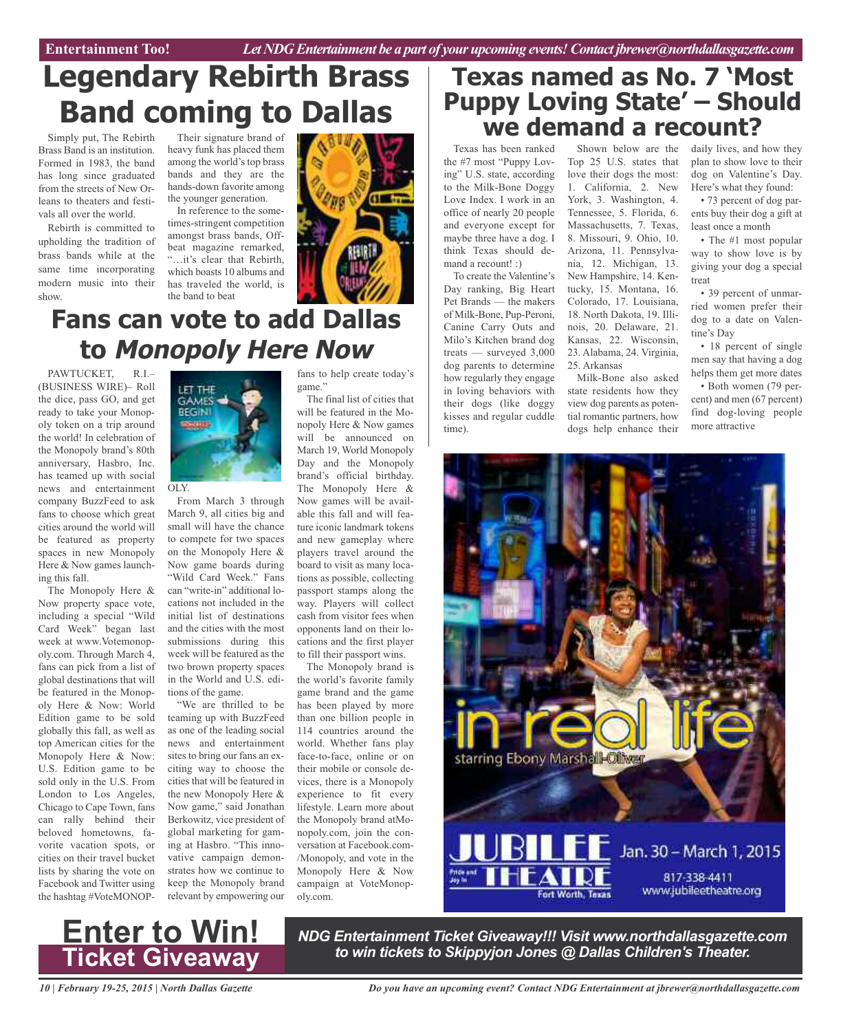# **Legendary Rebirth Brass Band coming to Dallas**

Simply put, The Rebirth Brass Band is an institution. Formed in 1983, the band has long since graduated from the streets of New Orleans to theaters and festivals all over the world.

Rebirth is committed to upholding the tradition of brass bands while at the same time incorporating modern music into their show.

Their signature brand of heavy funk has placed them among the world's top brass bands and they are the hands-down favorite among the younger generation.

In reference to the sometimes-stringent competition amongst brass bands, Offbeat magazine remarked, "…it's clear that Rebirth, which boasts 10 albums and has traveled the world, is the band to beat



# **Fans can vote to add Dallas to Monopoly Here Now**

PAWTUCKET, R.I.– (BUSINESS WIRE)– Roll the dice, pass GO, and get ready to take your Monopoly token on a trip around the world! In celebration of the Monopoly brand's 80th anniversary, Hasbro, Inc. has teamed up with social news and entertainment company BuzzFeed to ask fans to choose which great cities around the world will be featured as property spaces in new Monopoly Here & Now games launching this fall.

The Monopoly Here & Now property space vote, including a special "Wild Card Week" began last week at www.Votemonopoly.com. Through March 4, fans can pick from a list of global destinations that will be featured in the Monopoly Here & Now: World Edition game to be sold globally this fall, as well as top American cities for the Monopoly Here & Now: U.S. Edition game to be sold only in the U.S. From London to Los Angeles, Chicago to Cape Town, fans can rally behind their beloved hometowns, favorite vacation spots, or cities on their travel bucket lists by sharing the vote on Facebook and Twitter using the hashtag #VoteMONOP-



OLY.

From March 3 through March 9, all cities big and small will have the chance to compete for two spaces on the Monopoly Here & Now game boards during "Wild Card Week." Fans can "write-in" additional locations not included in the initial list of destinations and the cities with the most submissions during this week will be featured as the two brown property spaces in the World and U.S. editions of the game.

"We are thrilled to be teaming up with BuzzFeed as one of the leading social news and entertainment sites to bring our fans an exciting way to choose the cities that will be featured in the new Monopoly Here & Now game," said Jonathan Berkowitz, vice president of global marketing for gaming at Hasbro. "This innovative campaign demonstrates how we continue to keep the Monopoly brand relevant by empowering our fans to help create today's game."

The final list of cities that will be featured in the Monopoly Here & Now games will be announced on March 19, World Monopoly Day and the Monopoly brand's official birthday. The Monopoly Here & Now games will be available this fall and will feature iconic landmark tokens and new gameplay where players travel around the board to visit as many locations as possible, collecting passport stamps along the way. Players will collect cash from visitor fees when opponents land on their locations and the first player to fill their passport wins.

The Monopoly brand is the world's favorite family game brand and the game has been played by more than one billion people in 114 countries around the world. Whether fans play face-to-face, online or on their mobile or console devices, there is a Monopoly experience to fit every lifestyle. Learn more about the Monopoly brand atMonopoly.com, join the conversation at Facebook.com- /Monopoly, and vote in the Monopoly Here & Now campaign at VoteMonopoly.com.

# **Texas named as No. 7 'Most Puppy Loving State' – Should we demand a recount?**

Texas has been ranked the #7 most "Puppy Loving" U.S. state, according to the Milk-Bone Doggy Love Index. I work in an office of nearly 20 people and everyone except for maybe three have a dog. I think Texas should demand a recount! :)

To create the Valentine's Day ranking, Big Heart Pet Brands — the makers of Milk-Bone, Pup-Peroni, Canine Carry Outs and Milo's Kitchen brand dog treats — surveyed 3,000 dog parents to determine how regularly they engage in loving behaviors with their dogs (like doggy kisses and regular cuddle time).

Shown below are the Top 25 U.S. states that love their dogs the most: 1. California, 2. New York, 3. Washington, 4. Tennessee, 5. Florida, 6. Massachusetts, 7. Texas, 8. Missouri, 9. Ohio, 10. Arizona, 11. Pennsylvania, 12. Michigan, 13. New Hampshire, 14. Kentucky, 15. Montana, 16. Colorado, 17. Louisiana, 18. North Dakota, 19. Illinois, 20. Delaware, 21. Kansas, 22. Wisconsin, 23. Alabama, 24. Virginia, 25. Arkansas Milk-Bone also asked

state residents how they view dog parents as potential romantic partners, how dogs help enhance their daily lives, and how they plan to show love to their dog on Valentine's Day. Here's what they found:

• 73 percent of dog parents buy their dog a gift at least once a month

• The #1 most popular way to show love is by giving your dog a special treat

• 39 percent of unmarried women prefer their dog to a date on Valentine's Day

• 18 percent of single men say that having a dog helps them get more dates

• Both women (79 percent) and men (67 percent) find dog-loving people more attractive





*NDG Entertainment Ticket Giveaway!!! Visit www.northdallasgazette.com to win tickets to Skippyjon Jones @ Dallas Children's Theater.* **Enter to Win!**

*10 | February 19-25, 2015 | North Dallas Gazette*

*Do you have an upcoming event? Contact NDG Entertainment at jbrewer@northdallasgazette.com*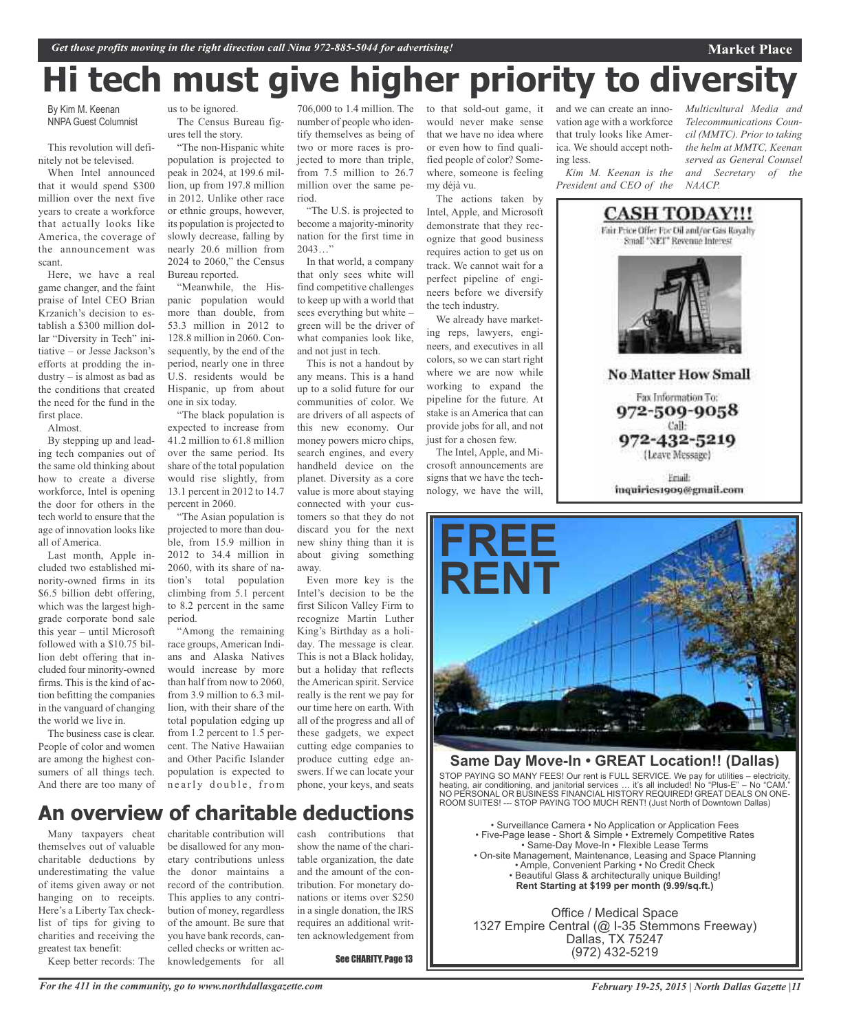# **Hi tech must give higher priority to diversity**

By Kim M. Keenan NNPA Guest Columnist

This revolution will definitely not be televised.

When Intel announced that it would spend \$300 million over the next five years to create a workforce that actually looks like America, the coverage of the announcement was scant.

Here, we have a real game changer, and the faint praise of Intel CEO Brian Krzanich's decision to establish a \$300 million dollar "Diversity in Tech" initiative – or Jesse Jackson's efforts at prodding the industry – is almost as bad as the conditions that created the need for the fund in the first place.

Almost.

By stepping up and leading tech companies out of the same old thinking about how to create a diverse workforce, Intel is opening the door for others in the tech world to ensure that the age of innovation looks like all of America.

Last month, Apple included two established minority-owned firms in its \$6.5 billion debt offering, which was the largest highgrade corporate bond sale this year – until Microsoft followed with a \$10.75 billion debt offering that included four minority-owned firms. This is the kind of action befitting the companies in the vanguard of changing the world we live in.

The business case is clear. People of color and women are among the highest consumers of all things tech. And there are too many of us to be ignored. The Census Bureau figures tell the story.

"The non-Hispanic white population is projected to peak in 2024, at 199.6 million, up from 197.8 million in 2012. Unlike other race or ethnic groups, however, its population is projected to slowly decrease, falling by nearly 20.6 million from 2024 to 2060," the Census Bureau reported.

"Meanwhile, the Hispanic population would more than double, from 53.3 million in 2012 to 128.8 million in 2060. Consequently, by the end of the period, nearly one in three U.S. residents would be Hispanic, up from about one in six today.

"The black population is expected to increase from 41.2 million to 61.8 million over the same period. Its share of the total population would rise slightly, from 13.1 percent in 2012 to 14.7 percent in 2060.

"The Asian population is projected to more than double, from 15.9 million in 2012 to 34.4 million in 2060, with its share of nation's total population climbing from 5.1 percent to 8.2 percent in the same period.

"Among the remaining race groups, American Indians and Alaska Natives would increase by more than half from now to 2060, from 3.9 million to 6.3 million, with their share of the total population edging up from 1.2 percent to 1.5 percent. The Native Hawaiian and Other Pacific Islander population is expected to nearly double, from

706,000 to 1.4 million. The number of people who identify themselves as being of two or more races is projected to more than triple, from 7.5 million to 26.7 million over the same period.

"The U.S. is projected to become a majority-minority nation for the first time in  $2043...$ "

In that world, a company that only sees white will find competitive challenges to keep up with a world that sees everything but white – green will be the driver of what companies look like, and not just in tech.

This is not a handout by any means. This is a hand up to a solid future for our communities of color. We are drivers of all aspects of this new economy. Our money powers micro chips, search engines, and every handheld device on the planet. Diversity as a core value is more about staying connected with your customers so that they do not discard you for the next new shiny thing than it is about giving something away.

Even more key is the Intel's decision to be the first Silicon Valley Firm to recognize Martin Luther King's Birthday as a holiday. The message is clear. This is not a Black holiday, but a holiday that reflects the American spirit. Service really is the rent we pay for our time here on earth. With all of the progress and all of these gadgets, we expect cutting edge companies to produce cutting edge answers. If we can locate your phone, your keys, and seats

to that sold-out game, it would never make sense that we have no idea where or even how to find qualified people of color? Somewhere, someone is feeling my déjà vu.

The actions taken by Intel, Apple, and Microsoft demonstrate that they recognize that good business requires action to get us on track. We cannot wait for a perfect pipeline of engineers before we diversify the tech industry.

We already have marketing reps, lawyers, engineers, and executives in all colors, so we can start right where we are now while working to expand the pipeline for the future. At stake is an America that can provide jobs for all, and not just for a chosen few.

The Intel, Apple, and Microsoft announcements are signs that we have the technology, we have the will, and we can create an innovation age with a workforce that truly looks like America. We should accept nothing less.

*Kim M. Keenan is the President and CEO of the* *Multicultural Media and Telecommunications Council (MMTC). Prior to taking the helm at MMTC, Keenan served as General Counsel and Secretary of the NAACP.*

**Market Place**



**No Matter How Small** 

Fax Information To: 972-509-9058 Call: 972-432-5219

(Leave Message)

Friail: inquiries1909@gmail.com



## **Same Day Move-In • GREAT Location!! (Dallas)**

STOP PAYING SO MANY FEES! Our rent is FULL SERVICE. We pay for utilities – electricity, heating, air conditioning, and janitorial services … it's all included! No "Plus-E" – No "CAM." NO PERSONAL OR BUSINESS FINANCIAL HISTORY REQUIRED! GREAT DEALS ON ONE-ROOM SUITES! --- STOP PAYING TOO MUCH RENT! (Just North of Downtown Dallas)

• Surveillance Camera • No Application or Application Fees • Five-Page lease - Short & Simple • Extremely Competitive Rates • Same-Day Move-In • Flexible Lease Terms • On-site Management, Maintenance, Leasing and Space Planning • Ample, Convenient Parking • No Credit Check • Beautiful Glass & architecturally unique Building! **Rent Starting at \$199 per month (9.99/sq.ft.)**

Office / Medical Space 1327 Empire Central (@ I-35 Stemmons Freeway) Dallas, TX 75247 (972) 432-5219

# **An overview of charitable deductions**

Many taxpayers cheat themselves out of valuable charitable deductions by underestimating the value of items given away or not hanging on to receipts. Here's a Liberty Tax checklist of tips for giving to charities and receiving the greatest tax benefit: Keep better records: The

charitable contribution will be disallowed for any monetary contributions unless the donor maintains a record of the contribution. This applies to any contribution of money, regardless of the amount. Be sure that you have bank records, cancelled checks or written acknowledgements for all

cash contributions that show the name of the charitable organization, the date and the amount of the contribution. For monetary donations or items over \$250 in a single donation, the IRS requires an additional written acknowledgement from

See CHARITY, Page 13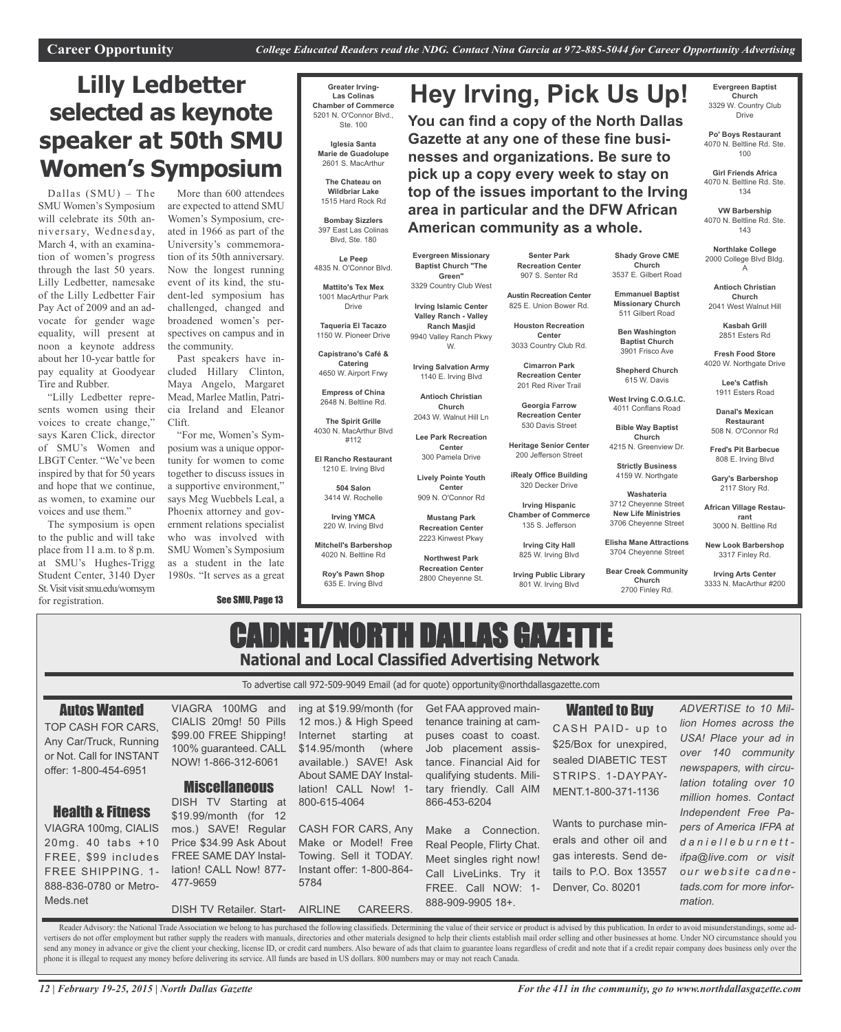**Hey Irving, Pick Us Up!**

**You can find a copy of the North Dallas Gazette at any one of these fine businesses and organizations. Be sure to pick up a copy every week to stay on top of the issues important to the Irving area in particular and the DFW African**

# **Lilly Ledbetter selected as keynote speaker at 50th SMU Women's Symposium**

Dallas (SMU) – The SMU Women's Symposium will celebrate its 50th anniversary, Wednesday, March 4, with an examination of women's progress through the last 50 years. Lilly Ledbetter, namesake of the Lilly Ledbetter Fair Pay Act of 2009 and an advocate for gender wage equality, will present at noon a keynote address about her 10-year battle for pay equality at Goodyear Tire and Rubber.

"Lilly Ledbetter represents women using their voices to create change," says Karen Click, director of SMU's Women and LBGT Center. "We've been inspired by that for 50 years and hope that we continue, as women, to examine our voices and use them."

The symposium is open to the public and will take place from 11 a.m. to 8 p.m. at SMU's Hughes-Trigg Student Center, 3140 Dyer St. Visit visit smu.edu/womsym

for registration.

More than 600 attendees are expected to attend SMU Women's Symposium, created in 1966 as part of the University's commemoration of its 50th anniversary. Now the longest running event of its kind, the student-led symposium has challenged, changed and broadened women's perspectives on campus and in the community.

Past speakers have included Hillary Clinton, Maya Angelo, Margaret Mead, Marlee Matlin, Patricia Ireland and Eleanor Clift.

"For me, Women's Symposium was a unique opportunity for women to come together to discuss issues in a supportive environment," says Meg Wuebbels Leal, a Phoenix attorney and government relations specialist who was involved with SMU Women's Symposium as a student in the late 1980s. "It serves as a great

See SMU, Page 13

**Greater Irving-Las Colinas Chamber of Commerce** 5201 N. O'Connor Blvd., Ste. 100

> **Iglesia Santa Marie de Guadolupe** 2601 S. MacArthur

**The Chateau on Wildbriar Lake** 1515 Hard Rock Rd

**Bombay Sizzlers** 397 East Las Colinas Blvd, Ste. 180

**Le Peep** 4835 N. O'Connor Blvd.

**Mattito's Tex Mex** 1001 MacArthur Park Drive

**Taqueria El Tacazo** 1150 W. Pioneer Drive

**Capistrano's Café & Catering** 4650 W. Airport Frwy

**Empress of China** 2648 N. Beltline Rd.

**The Spirit Grille** 4030 N. MacArthur Blvd #112

**El Rancho Restaurant** 1210 E. Irving Blvd

> **504 Salon** 3414 W. Rochelle

**Irving YMCA** 220 W. Irving Blvd

**Mitchell's Barbershop** 4020 N. Beltline Rd

> **Roy's Pawn Shop** 635 E. Irving Blvd

**Senter Park Recreation Center** 907 S. Senter Rd

**American community as a whole.**

**Austin Recreation Center** 825 E. Union Bower Rd.

**Houston Recreation Center**

**Cimarron Park**

**Recreation Center** 530 Davis Street

**Irving Hispanic**

801 W. Irving Blvd

**Evergreen Baptist Church** 3329 W. Country Club Drive

**Po' Boys Restaurant** 4070 N. Beltline Rd. Ste. 100

**Girl Friends Africa** 4070 N. Beltline Rd. Ste. 134

**VW Barbership** 4070 N. Beltline Rd. Ste. 143

**Northlake College** 2000 College Blvd Bldg. A

**Shady Grove CME Church** 3537 E. Gilbert Road **Emmanuel Baptist Missionary Church** 511 Gilbert Road **Ben Washington Baptist Church** 3901 Frisco Ave **Shepherd Church** 615 W. Davis **West Irving C.O.G.I.C.** 4011 Conflans Road **Bible Way Baptist Church** 4215 N. Greenview Dr. **Strictly Business** 4159 W. Northgate **Washateria** 3712 Cheyenne Street **New Life Ministries** 3706 Cheyenne Street **Elisha Mane Attractions** 3704 Cheyenne Street **Bear Creek Community Church** 2700 Finley Rd.

**Antioch Christian Church** 2041 West Walnut Hill

**Kasbah Grill** 2851 Esters Rd

**Fresh Food Store** 4020 W. Northgate Drive

> **Lee's Catfish** 1911 Esters Road

**Danal's Mexican Restaurant** 508 N. O'Connor Rd

**Fred's Pit Barbecue** 808 E. Irving Blvd

**Gary's Barbershop** 2117 Story Rd.

**African Village Restaurant** 3000 N. Beltline Rd

**New Look Barbershop** 3317 Finley Rd.

**Irving Arts Center** 3333 N. MacArthur #200

# CADNET/NORTH DALLAS GAZETTE **National and Local Classified Advertising Network**

To advertise call 972-509-9049 Email (ad for quote) opportunity@northdallasgazette.com

#### Autos Wanted TOP CASH FOR CARS, Any Car/Truck, Running or Not. Call for INSTANT offer: 1-800-454-6951 Health & Fitness VIAGRA 100mg, CIALIS 20mg. 40 tabs +10 FREE, \$99 includes VIAGRA 100MG and CIALIS 20mg! 50 Pills \$99.00 FREE Shipping! 100% guaranteed. CALL NOW! 1-866-312-6061 **Miscellaneous** DISH TV Starting at \$19.99/month (for 12 mos.) SAVE! Regular Price \$34.99 Ask About FREE SAME DAY Instaling at \$19.99/month (for 12 mos.) & High Speed Internet starting at \$14.95/month (where available.) SAVE! Ask About SAME DAY Installation! CALL Now! 1- 800-615-4064 CASH FOR CARS, Any Make or Model! Free Towing. Sell it TODAY. Get FAA approved maintenance training at campuses coast to coast. Job placement assistance. Financial Aid for qualifying students. Military friendly. Call AIM 866-453-6204 Make a Connection. Real People, Flirty Chat. Meet singles right now! Wanted to Buy CASH PAID- up to \$25/Box for unexpired, sealed DIABETIC TEST STRIPS. 1-DAYPAY-MENT.1-800-371-1136 Wants to purchase minerals and other oil and gas interests. Send de-*ADVERTISE to 10 Mil-*

FREE SHIPPING. 1- 888-836-0780 or Metro-Meds.net

lation! CALL Now! 877- 477-9659

DISH TV Retailer. Start-

Instant offer: 1-800-864- 5784

AIRLINE CAREERS.

Call LiveLinks. Try it FREE. Call NOW: 1- 888-909-9905 18+.

tails to P.O. Box 13557 Denver, Co. 80201

*lion Homes across the USA! Place your ad in over 140 community newspapers, with circulation totaling over 10 million homes. Contact Independent Free Papers of America IFPA at d a n i e l l e b u r n e t t ifpa@live.com or visit o u r w e b s i t e c a d n e tads.com for more information.*

Reader Advisory: the National Trade Association we belong to has purchased the following classifieds. Determining the value of their service or product is advised by this publication. In order to avoid misunderstandings, s vertisers do not offer employment but rather supply the readers with manuals, directories and other materials designed to help their clients establish mail order selling and other businesses at home. Under NO circumstance send any money in advance or give the client your checking, license ID, or credit card numbers. Also beware of ads that claim to guarantee loans regardless of credit and note that if a credit repair company does business o phone it is illegal to request any money before delivering its service. All funds are based in US dollars. 800 numbers may or may not reach Canada.



**Evergreen Missionary Baptist Church "The Green"** 3329 Country Club West **Irving Islamic Center**

W.

**Church**

**Center** 300 Pamela Drive

**Valley Ranch - Valley Ranch Masjid** 9940 Valley Ranch Pkwy 3033 Country Club Rd.

**Irving Salvation Army** 1140 E. Irving Blvd **Antioch Christian**

320 Decker Drive

2043 W. Walnut Hill Ln **Lee Park Recreation**

200 Jefferson Street

**Chamber of Commerce** 135 S. Jefferson

825 W. Irving Blvd

**Irving Public Library**

**Heritage Senior Center iRealy Office Building**

**Recreation Center** 201 Red River Trail **Georgia Farrow**

**Irving City Hall**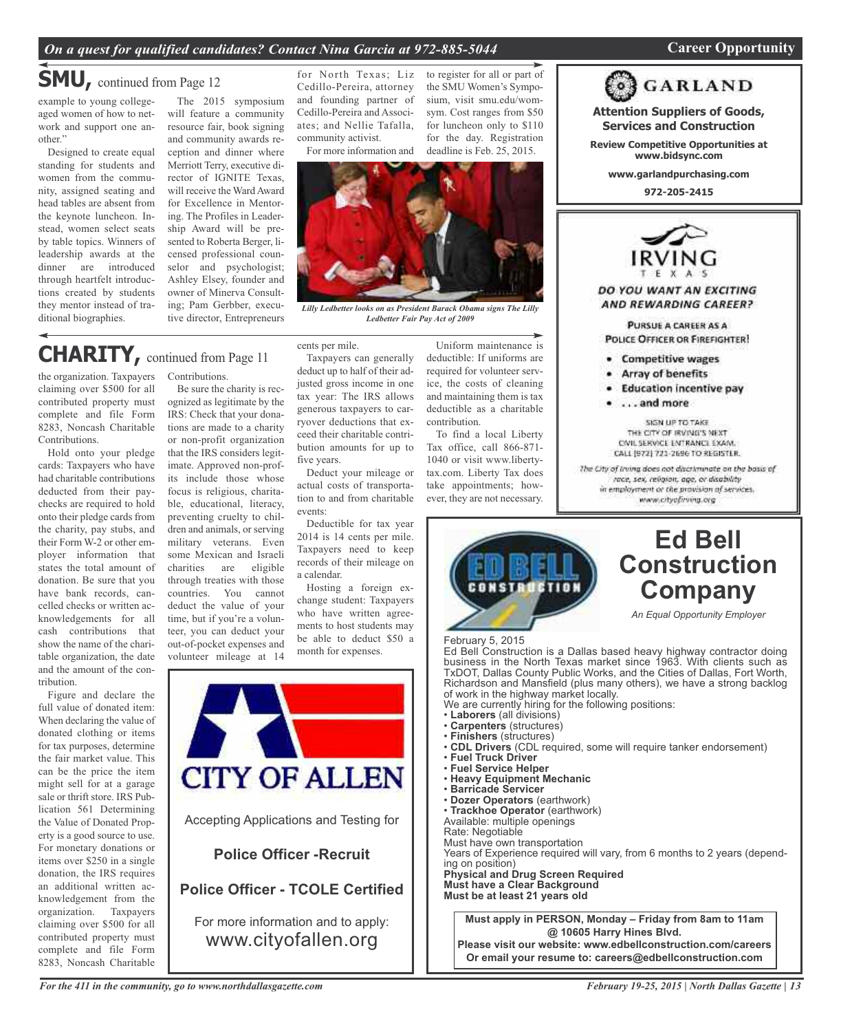## *On a quest for qualified candidates? Contact Nina Garcia at 972-885-5044* **Career Opportunity**

**GARLAND** 

# **SMU,** continued from Page <sup>12</sup>

example to young collegeaged women of how to network and support one another."

Designed to create equal standing for students and women from the community, assigned seating and head tables are absent from the keynote luncheon. Instead, women select seats by table topics. Winners of leadership awards at the dinner are introduced through heartfelt introductions created by students they mentor instead of traditional biographies.

The 2015 symposium will feature a community resource fair, book signing and community awards reception and dinner where Merriott Terry, executive director of IGNITE Texas, will receive the Ward Award for Excellence in Mentoring. The Profiles in Leadership Award will be presented to Roberta Berger, licensed professional counselor and psychologist; Ashley Elsey, founder and owner of Minerva Consulting; Pam Gerbber, executive director, Entrepreneurs

for North Texas; Liz Cedillo-Pereira, attorney and founding partner of Cedillo-Pereira and Associates; and Nellie Tafalla, community activist.

For more information and for the day. Registration deadline is Feb. 25, 2015.

*Lilly Ledbetter looks on as President Barack Obama signs The Lilly Ledbetter Fair Pay Act of 2009*

# **CHARITY,** continued from Page <sup>11</sup>

the organization. Taxpayers claiming over \$500 for all contributed property must complete and file Form 8283, Noncash Charitable Contributions.

Hold onto your pledge cards: Taxpayers who have had charitable contributions deducted from their paychecks are required to hold onto their pledge cards from the charity, pay stubs, and their Form W-2 or other employer information that states the total amount of donation. Be sure that you have bank records, cancelled checks or written acknowledgements for all cash contributions that show the name of the charitable organization, the date and the amount of the contribution.

Figure and declare the full value of donated item: When declaring the value of donated clothing or items for tax purposes, determine the fair market value. This can be the price the item might sell for at a garage sale or thrift store. IRS Publication 561 Determining the Value of Donated Property is a good source to use. For monetary donations or items over \$250 in a single donation, the IRS requires an additional written acknowledgement from the organization. Taxpayers claiming over \$500 for all contributed property must complete and file Form 8283, Noncash Charitable Contributions.

Be sure the charity is recognized as legitimate by the IRS: Check that your donations are made to a charity or non-profit organization that the IRS considers legitimate. Approved non-profits include those whose focus is religious, charitable, educational, literacy, preventing cruelty to children and animals, or serving military veterans. Even some Mexican and Israeli charities are eligible through treaties with those countries. You cannot deduct the value of your time, but if you're a volunteer, you can deduct your out-of-pocket expenses and volunteer mileage at 14

cents per mile. Taxpayers can generally deduct up to half of their adjusted gross income in one tax year: The IRS allows generous taxpayers to carryover deductions that exceed their charitable contribution amounts for up to five years.

Deduct your mileage or actual costs of transportation to and from charitable events:

Deductible for tax year 2014 is 14 cents per mile. Taxpayers need to keep records of their mileage on a calendar.

Hosting a foreign exchange student: Taxpayers who have written agreements to host students may be able to deduct \$50 a month for expenses.



Uniform maintenance is deductible: If uniforms are required for volunteer service, the costs of cleaning and maintaining them is tax deductible as a charitable contribution.

to register for all or part of the SMU Women's Symposium, visit smu.edu/womsym. Cost ranges from \$50 for luncheon only to \$110

To find a local Liberty Tax office, call 866-871- 1040 or visit www.libertytax.com. Liberty Tax does take appointments; however, they are not necessary.



THE CITY OF IRVING'S NEXT CIVIL SERVICE ENTRANCE EXAM. CALL (972) 721-2696 TO REGISTER. The City of Irving does not discriminate on the basis of

race, sex, religion, age, or disability in employment or the provision of services. www.cityofiriving.org



# **Ed Bell Construction Company**

*An Equal Opportunity Employer*

February 5, 2015

 Ed Bell Construction is a Dallas based heavy highway contractor doing<br>business in the North Texas market since 1963. With clients such as Ed Bell Construction is a Dallas based heavy highway contractor doing Richardson and Mansfield (plus many others), we have a strong backlog of work in the highway market locally.

- 
- 
- 
- Finishers (structures)<br>• CDL Drivers (CDL required, some will require tanker endorsement) of work in the highway market locally.<br>
We are currently hiring for the following positions:<br>
• Laborers (all divisions)<br>
• Carpenters (structures)<br>
• Finishers (structures)<br>
• CDL Drivers (CDL required, some will require
- Fuel Truck Driver<br>• Fuel Service Helper
- 
- **Heavy Equipment Mechanic · Barricade Servicer**
- 
- **· Dozer Operators** (earthwork)<br>• Trackhoe Operator (earthwork)
- Available: multiple openings

Rate: Negotiable

Must have own transportation

Years of Experience required will vary, from 6 months to 2 years (depending on position)

**Physical and Drug Screen Required Must have a Clear Background Must be at least 21 years old**

> **Must apply in PERSON, Monday – Friday from 8am to 11am @ 10605 Harry Hines Blvd.**

**Please visit our website: www.edbellconstruction.com/careers Or email your resume to: careers@edbellconstruction.com**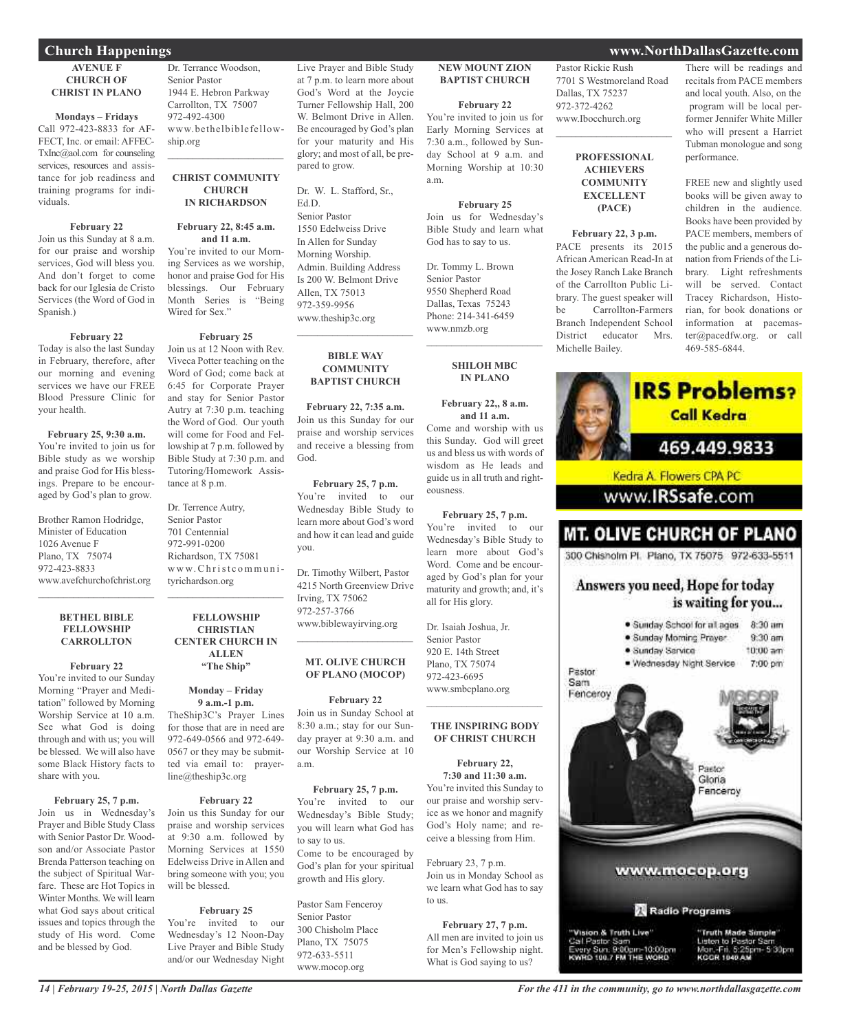#### **AVENUE F CHURCH OF CHRIST IN PLANO**

**Mondays – Fridays** Call 972-423-8833 for AF-FECT, Inc. or email: AFFEC-TxInc@aol.com for counseling services, resources and assistance for job readiness and training programs for individuals.

#### **February 22**

Join us this Sunday at 8 a.m. for our praise and worship services, God will bless you. And don't forget to come back for our Iglesia de Cristo Services (the Word of God in Spanish.)

#### **February 22**

Today is also the last Sunday in February, therefore, after our morning and evening services we have our FREE Blood Pressure Clinic for your health.

**February 25, 9:30 a.m.** You're invited to join us for Bible study as we worship and praise God for His blessings. Prepare to be encouraged by God's plan to grow.

Brother Ramon Hodridge, Minister of Education 1026 Avenue F Plano, TX 75074 972-423-8833 www.avefchurchofchrist.org  $\mathcal{L}=\mathcal{L}=\mathcal{L}=\mathcal{L}=\mathcal{L}=\mathcal{L}=\mathcal{L}=\mathcal{L}=\mathcal{L}=\mathcal{L}=\mathcal{L}=\mathcal{L}=\mathcal{L}=\mathcal{L}=\mathcal{L}=\mathcal{L}=\mathcal{L}=\mathcal{L}=\mathcal{L}=\mathcal{L}=\mathcal{L}=\mathcal{L}=\mathcal{L}=\mathcal{L}=\mathcal{L}=\mathcal{L}=\mathcal{L}=\mathcal{L}=\mathcal{L}=\mathcal{L}=\mathcal{L}=\mathcal{L}=\mathcal{L}=\mathcal{L}=\mathcal{L}=\mathcal{L}=\mathcal{$ 

#### **BETHEL BIBLE FELLOWSHIP CARROLLTON**

**February 22**

You're invited to our Sunday Morning "Prayer and Meditation" followed by Morning Worship Service at 10 a.m. See what God is doing through and with us; you will be blessed. We will also have some Black History facts to share with you.

## **February 25, 7 p.m.**

Join us in Wednesday's Prayer and Bible Study Class with Senior Pastor Dr. Woodson and/or Associate Pastor Brenda Patterson teaching on the subject of Spiritual Warfare. These are Hot Topics in Winter Months. We will learn what God says about critical issues and topics through the study of His word. Come and be blessed by God.

Dr. Terrance Woodson, Senior Pastor 1944 E. Hebron Parkway Carrollton, TX 75007 972-492-4300 www.bethelbiblefellowship.org  $\overline{\phantom{a}}$  , where  $\overline{\phantom{a}}$  , where  $\overline{\phantom{a}}$  , where  $\overline{\phantom{a}}$ 

#### **CHRIST COMMUNITY CHURCH IN RICHARDSON**

#### **February 22, 8:45 a.m. and 11 a.m.**

You're invited to our Morning Services as we worship, honor and praise God for His blessings. Our February Month Series is "Being Wired for Sex."

### **February 25**

Join us at 12 Noon with Rev. Viveca Potter teaching on the Word of God; come back at 6:45 for Corporate Prayer and stay for Senior Pastor Autry at 7:30 p.m. teaching the Word of God. Our youth will come for Food and Fellowship at 7 p.m. followed by Bible Study at 7:30 p.m. and Tutoring/Homework Assistance at 8 p.m.

Dr. Terrence Autry, Senior Pastor 701 Centennial 972-991-0200 Richardson, TX 75081 w w w.Ch rist c o m m u n ityrichardson.org  $\overline{\phantom{a}}$  , where  $\overline{\phantom{a}}$  , where  $\overline{\phantom{a}}$  , where  $\overline{\phantom{a}}$ 

## **FELLOWSHIP CHRISTIAN CENTER CHURCH IN ALLEN "The Ship"**

**Monday – Friday**

**9 a.m.-1 p.m.** TheShip3C's Prayer Lines for those that are in need are

972-649-0566 and 972-649- 0567 or they may be submitted via email to: prayerline@theship3c.org

## **February 22**

Join us this Sunday for our praise and worship services at 9:30 a.m. followed by Morning Services at 1550 Edelweiss Drive in Allen and bring someone with you; you will be blessed.

## **February 25**

You're invited to our Wednesday's 12 Noon-Day Live Prayer and Bible Study and/or our Wednesday Night Live Prayer and Bible Study at 7 p.m. to learn more about God's Word at the Joycie Turner Fellowship Hall, 200 W. Belmont Drive in Allen. Be encouraged by God's plan for your maturity and His glory; and most of all, be prepared to grow.

Dr. W. L. Stafford, Sr., Ed.D. Senior Pastor 1550 Edelweiss Drive In Allen for Sunday Morning Worship. Admin. Building Address Is 200 W. Belmont Drive Allen, TX 75013 972-359-9956 www.theship3c.org

#### **BIBLE WAY COMMUNITY BAPTIST CHURCH**

 $\overline{\phantom{a}}$  , where  $\overline{\phantom{a}}$  , where  $\overline{\phantom{a}}$  , where  $\overline{\phantom{a}}$ 

**February 22, 7:35 a.m.** Join us this Sunday for our praise and worship services and receive a blessing from God.

#### **February 25, 7 p.m.** You're invited to our Wednesday Bible Study to learn more about God's word and how it can lead and guide you.

Dr. Timothy Wilbert, Pastor 4215 North Greenview Drive Irving, TX 75062 972-257-3766 www.biblewayirving.org

#### **MT. OLIVE CHURCH OF PLANO (MOCOP)**

 $\overline{\phantom{a}}$  , where  $\overline{\phantom{a}}$  , where  $\overline{\phantom{a}}$  , where  $\overline{\phantom{a}}$ 

#### **February 22**

Join us in Sunday School at 8:30 a.m.; stay for our Sunday prayer at 9:30 a.m. and our Worship Service at 10 a.m.

#### **February 25, 7 p.m.**

You're invited to our Wednesday's Bible Study; you will learn what God has to say to us. Come to be encouraged by God's plan for your spiritual growth and His glory.

Pastor Sam Fenceroy Senior Pastor 300 Chisholm Place Plano, TX 75075 972-633-5511 www.mocop.org

## **NEW MOUNT ZION BAPTIST CHURCH**

## **February 22**

You're invited to join us for Early Morning Services at 7:30 a.m., followed by Sunday School at 9 a.m. and Morning Worship at 10:30 a.m.

## **February 25**

Join us for Wednesday's Bible Study and learn what God has to say to us.

Dr. Tommy L. Brown Senior Pastor 9550 Shepherd Road Dallas, Texas 75243 Phone: 214-341-6459 www.nmzb.org

> **SHILOH MBC IN PLANO**

 $\overline{\phantom{a}}$  , where  $\overline{\phantom{a}}$  , where  $\overline{\phantom{a}}$  ,  $\overline{\phantom{a}}$  ,  $\overline{\phantom{a}}$  ,  $\overline{\phantom{a}}$  ,  $\overline{\phantom{a}}$  ,  $\overline{\phantom{a}}$  ,  $\overline{\phantom{a}}$  ,  $\overline{\phantom{a}}$  ,  $\overline{\phantom{a}}$  ,  $\overline{\phantom{a}}$  ,  $\overline{\phantom{a}}$  ,  $\overline{\phantom{a}}$  ,  $\overline{\phantom{a}}$  ,

#### **February 22,, 8 a.m. and 11 a.m.**

Come and worship with us this Sunday. God will greet us and bless us with words of wisdom as He leads and guide us in all truth and righteousness.

**February 25, 7 p.m.** You're invited to our Wednesday's Bible Study to learn more about God's Word. Come and be encouraged by God's plan for your maturity and growth; and, it's all for His glory.

Dr. Isaiah Joshua, Jr. Senior Pastor 920 E. 14th Street Plano, TX 75074 972-423-6695 www.smbcplano.org

#### **THE INSPIRING BODY OF CHRIST CHURCH**

 $\overline{\phantom{a}}$  , where  $\overline{\phantom{a}}$  , where  $\overline{\phantom{a}}$  , where  $\overline{\phantom{a}}$ 

**February 22, 7:30 and 11:30 a.m.** You're invited this Sunday to our praise and worship service as we honor and magnify God's Holy name; and receive a blessing from Him.

February 23, 7 p.m. Join us in Monday School as we learn what God has to say to us.

**February 27, 7 p.m.** All men are invited to join us for Men's Fellowship night. What is God saying to us?

Pastor Rickie Rush 7701 S Westmoreland Road Dallas, TX 75237 972-372-4262 www.Ibocchurch.org

 $\overline{\phantom{a}}$  , where  $\overline{\phantom{a}}$  , where  $\overline{\phantom{a}}$  , where  $\overline{\phantom{a}}$ 

## **PROFESSIONAL ACHIEVERS COMMUNITY EXCELLENT (PACE)**

**February 22, 3 p.m.** PACE presents its 2015 African American Read-In at the Josey Ranch Lake Branch of the Carrollton Public Library. The guest speaker will be Carrollton-Farmers Branch Independent School District educator Mrs. Michelle Bailey.

### There will be readings and recitals from PACE members and local youth. Also, on the program will be local performer Jennifer White Miller who will present a Harriet Tubman monologue and song performance.

FREE new and slightly used books will be given away to children in the audience. Books have been provided by PACE members, members of the public and a generous donation from Friends of the Library. Light refreshments will be served. Contact Tracey Richardson, Historian, for book donations or information at pacemaster@pacedfw.org. or call 469-585-6844.



## **Church Happenings www.NorthDallasGazette.com**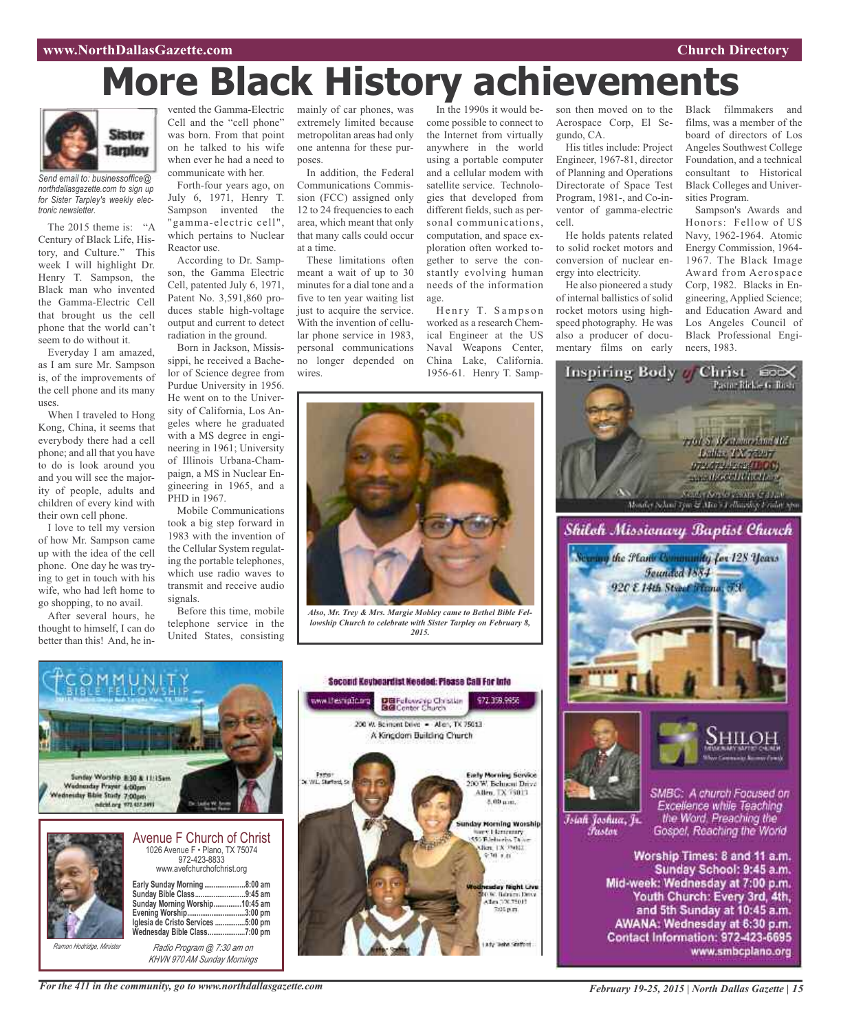# **More Black History achievements**

*2015.*

DBFelowskip Christian<br>BGConter Church

200 W. Bernont Dove - Aller, TX 75013 A Kingdom Building Church

day Night Live

036. Bahim Ditsi<br>Alm DX 75013

7:05 p.m.

www.thesnip3c.org



*Send email to: businessoffice@ northdallasgazette.com to sign up for Sister Tarpley's weekly electronic newsletter.*

The 2015 theme is: "A Century of Black Life, History, and Culture." This week I will highlight Dr. Henry T. Sampson, the Black man who invented the Gamma-Electric Cell that brought us the cell phone that the world can't seem to do without it.

Everyday I am amazed, as I am sure Mr. Sampson is, of the improvements of the cell phone and its many uses.

When I traveled to Hong Kong, China, it seems that everybody there had a cell phone; and all that you have to do is look around you and you will see the majority of people, adults and children of every kind with their own cell phone.

I love to tell my version of how Mr. Sampson came up with the idea of the cell phone. One day he was trying to get in touch with his wife, who had left home to go shopping, to no avail.

After several hours, he thought to himself, I can do better than this! And, he in-

vented the Gamma-Electric Cell and the "cell phone" was born. From that point on he talked to his wife when ever he had a need to communicate with her.

Forth-four years ago, on July 6, 1971, Henry T. Sampson invented the "gamma-electric cell", which pertains to Nuclear Reactor use.

According to Dr. Sampson, the Gamma Electric Cell, patented July 6, 1971, Patent No. 3,591,860 produces stable high-voltage output and current to detect radiation in the ground.

Born in Jackson, Mississippi, he received a Bachelor of Science degree from Purdue University in 1956. He went on to the University of California, Los Angeles where he graduated with a MS degree in engineering in 1961; University of Illinois Urbana-Champaign, a MS in Nuclear Engineering in 1965, and a PHD in 1967.

Mobile Communications took a big step forward in 1983 with the invention of the Cellular System regulating the portable telephones, which use radio waves to transmit and receive audio signals.

Before this time, mobile telephone service in the United States, consisting

mainly of car phones, was extremely limited because metropolitan areas had only one antenna for these purposes.

In addition, the Federal Communications Commission (FCC) assigned only 12 to 24 frequencies to each area, which meant that only that many calls could occur at a time.

These limitations often meant a wait of up to 30 minutes for a dial tone and a five to ten year waiting list just to acquire the service. With the invention of cellular phone service in 1983, personal communications no longer depended on wires.

In the 1990s it would become possible to connect to the Internet from virtually anywhere in the world using a portable computer and a cellular modem with satellite service. Technologies that developed from different fields, such as personal communications, computation, and space exploration often worked together to serve the constantly evolving human needs of the information age.

Henry T. Sampson worked as a research Chemical Engineer at the US Naval Weapons Center, China Lake, California. 1956-61. Henry T. Sampson then moved on to the Aerospace Corp, El Segundo, CA.

His titles include: Project Engineer, 1967-81, director of Planning and Operations Directorate of Space Test Program, 1981-, and Co-inventor of gamma-electric cell.

He holds patents related to solid rocket motors and conversion of nuclear energy into electricity.

He also pioneered a study of internal ballistics of solid rocket motors using highspeed photography. He was also a producer of documentary films on early

Black filmmakers and films, was a member of the board of directors of Los Angeles Southwest College Foundation, and a technical consultant to Historical Black Colleges and Universities Program.

Sampson's Awards and Honors: Fellow of US Navy, 1962-1964. Atomic Energy Commission, 1964- 1967. The Black Image Award from Aerospace Corp, 1982. Blacks in Engineering, Applied Science; and Education Award and Los Angeles Council of Black Professional Engineers, 1983.



SMBC: A church Focused on Excellence while Teaching<br>the Word, Preaching the Gospel, Reaching the World

Worship Times: 8 and 11 a.m. Sunday School: 9:45 a.m. Mid-week: Wednesday at 7:00 p.m. Youth Church: Every 3rd, 4th, and 5th Sunday at 10:45 a.m. AWANA: Wednesday at 6:30 p.m. Contact Information: 972-423-6695 www.smbcplano.org